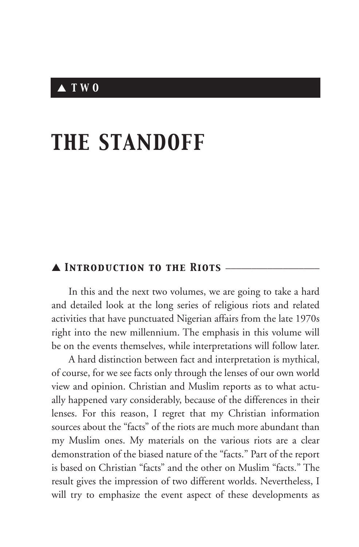# *THE STANDOFF*

## ▲ *Introduction to the Riots* \_\_\_\_\_\_\_\_\_\_\_\_\_\_\_\_\_\_

In this and the next two volumes, we are going to take a hard and detailed look at the long series of religious riots and related activities that have punctuated Nigerian affairs from the late 1970s right into the new millennium. The emphasis in this volume will be on the events themselves, while interpretations will follow later.

A hard distinction between fact and interpretation is mythical, of course, for we see facts only through the lenses of our own world view and opinion. Christian and Muslim reports as to what actually happened vary considerably, because of the differences in their lenses. For this reason, I regret that my Christian information sources about the "facts" of the riots are much more abundant than my Muslim ones. My materials on the various riots are a clear demonstration of the biased nature of the "facts." Part of the report is based on Christian "facts" and the other on Muslim "facts." The result gives the impression of two different worlds. Nevertheless, I will try to emphasize the event aspect of these developments as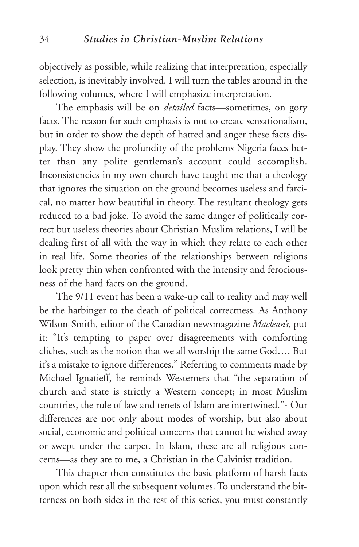objectively as possible, while realizing that interpretation, especially selection, is inevitably involved. I will turn the tables around in the following volumes, where I will emphasize interpretation.

The emphasis will be on *detailed* facts—sometimes, on gory facts. The reason for such emphasis is not to create sensationalism, but in order to show the depth of hatred and anger these facts display. They show the profundity of the problems Nigeria faces better than any polite gentleman's account could accomplish. Inconsistencies in my own church have taught me that a theology that ignores the situation on the ground becomes useless and farcical, no matter how beautiful in theory. The resultant theology gets reduced to a bad joke. To avoid the same danger of politically correct but useless theories about Christian-Muslim relations, I will be dealing first of all with the way in which they relate to each other in real life. Some theories of the relationships between religions look pretty thin when confronted with the intensity and ferociousness of the hard facts on the ground.

The 9/11 event has been a wake-up call to reality and may well be the harbinger to the death of political correctness. As Anthony Wilson-Smith, editor of the Canadian newsmagazine *Maclean's*, put it: "It's tempting to paper over disagreements with comforting cliches, such as the notion that we all worship the same God…. But it's a mistake to ignore differences." Referring to comments made by Michael Ignatieff, he reminds Westerners that "the separation of church and state is strictly a Western concept; in most Muslim countries, the rule of law and tenets of Islam are intertwined."1 Our differences are not only about modes of worship, but also about social, economic and political concerns that cannot be wished away or swept under the carpet. In Islam, these are all religious concerns—as they are to me, a Christian in the Calvinist tradition.

This chapter then constitutes the basic platform of harsh facts upon which rest all the subsequent volumes. To understand the bitterness on both sides in the rest of this series, you must constantly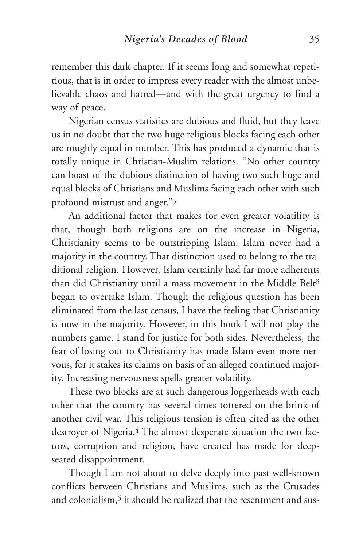remember this dark chapter. If it seems long and somewhat repetitious, that is in order to impress every reader with the almost unbelievable chaos and hatred—and with the great urgency to find a way of peace.

Nigerian census statistics are dubious and fluid, but they leave us in no doubt that the two huge religious blocks facing each other are roughly equal in number. This has produced a dynamic that is totally unique in Christian-Muslim relations. "No other country can boast of the dubious distinction of having two such huge and equal blocks of Christians and Muslims facing each other with such profound mistrust and anger."2

An additional factor that makes for even greater volatility is that, though both religions are on the increase in Nigeria, Christianity seems to be outstripping Islam. Islam never had a majority in the country. That distinction used to belong to the traditional religion. However, Islam certainly had far more adherents than did Christianity until a mass movement in the Middle Belt<sup>3</sup> began to overtake Islam. Though the religious question has been eliminated from the last census, I have the feeling that Christianity is now in the majority. However, in this book I will not play the numbers game. I stand for justice for both sides. Nevertheless, the fear of losing out to Christianity has made Islam even more nervous, for it stakes its claims on basis of an alleged continued majority. Increasing nervousness spells greater volatility.

These two blocks are at such dangerous loggerheads with each other that the country has several times tottered on the brink of another civil war. This religious tension is often cited as the other destroyer of Nigeria.<sup>4</sup> The almost desperate situation the two factors, corruption and religion, have created has made for deepseated disappointment.

Though I am not about to delve deeply into past well-known conflicts between Christians and Muslims, such as the Crusades and colonialism.<sup>5</sup> it should be realized that the resentment and sus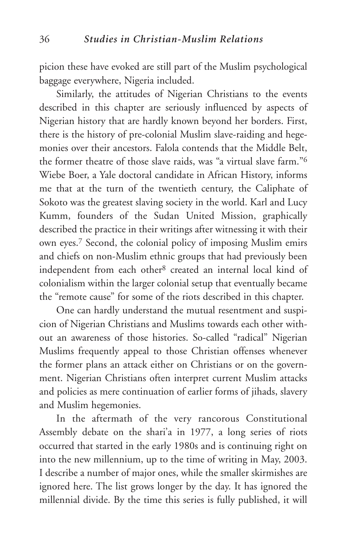picion these have evoked are still part of the Muslim psychological baggage everywhere, Nigeria included.

Similarly, the attitudes of Nigerian Christians to the events described in this chapter are seriously influenced by aspects of Nigerian history that are hardly known beyond her borders. First, there is the history of pre-colonial Muslim slave-raiding and hegemonies over their ancestors. Falola contends that the Middle Belt, the former theatre of those slave raids, was "a virtual slave farm."6 Wiebe Boer, a Yale doctoral candidate in African History, informs me that at the turn of the twentieth century, the Caliphate of Sokoto was the greatest slaving society in the world. Karl and Lucy Kumm, founders of the Sudan United Mission, graphically described the practice in their writings after witnessing it with their own eyes.7 Second, the colonial policy of imposing Muslim emirs and chiefs on non-Muslim ethnic groups that had previously been independent from each other8 created an internal local kind of colonialism within the larger colonial setup that eventually became the "remote cause" for some of the riots described in this chapter.

One can hardly understand the mutual resentment and suspicion of Nigerian Christians and Muslims towards each other without an awareness of those histories. So-called "radical" Nigerian Muslims frequently appeal to those Christian offenses whenever the former plans an attack either on Christians or on the government. Nigerian Christians often interpret current Muslim attacks and policies as mere continuation of earlier forms of jihads, slavery and Muslim hegemonies.

In the aftermath of the very rancorous Constitutional Assembly debate on the shari'a in 1977, a long series of riots occurred that started in the early 1980s and is continuing right on into the new millennium, up to the time of writing in May, 2003. I describe a number of major ones, while the smaller skirmishes are ignored here. The list grows longer by the day. It has ignored the millennial divide. By the time this series is fully published, it will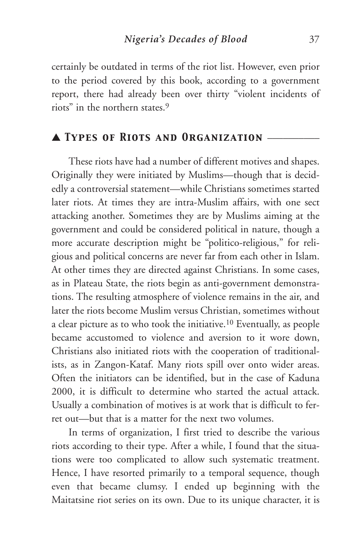certainly be outdated in terms of the riot list. However, even prior to the period covered by this book, according to a government report, there had already been over thirty "violent incidents of riots" in the northern states.<sup>9</sup>

# ▲ *Types of Riots and Organization* \_\_\_\_\_\_\_\_\_\_

These riots have had a number of different motives and shapes. Originally they were initiated by Muslims—though that is decidedly a controversial statement—while Christians sometimes started later riots. At times they are intra-Muslim affairs, with one sect attacking another. Sometimes they are by Muslims aiming at the government and could be considered political in nature, though a more accurate description might be "politico-religious," for religious and political concerns are never far from each other in Islam. At other times they are directed against Christians. In some cases, as in Plateau State, the riots begin as anti-government demonstrations. The resulting atmosphere of violence remains in the air, and later the riots become Muslim versus Christian, sometimes without a clear picture as to who took the initiative.10 Eventually, as people became accustomed to violence and aversion to it wore down, Christians also initiated riots with the cooperation of traditionalists, as in Zangon-Kataf. Many riots spill over onto wider areas. Often the initiators can be identified, but in the case of Kaduna 2000, it is difficult to determine who started the actual attack. Usually a combination of motives is at work that is difficult to ferret out—but that is a matter for the next two volumes.

In terms of organization, I first tried to describe the various riots according to their type. After a while, I found that the situations were too complicated to allow such systematic treatment. Hence, I have resorted primarily to a temporal sequence, though even that became clumsy. I ended up beginning with the Maitatsine riot series on its own. Due to its unique character, it is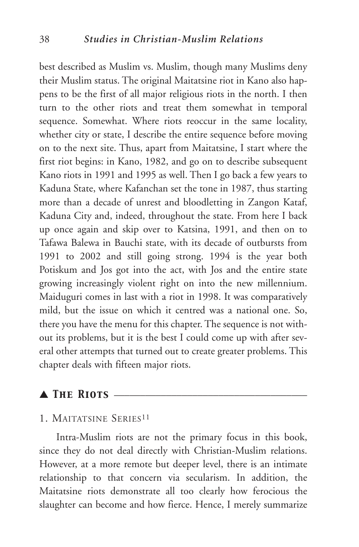best described as Muslim vs. Muslim, though many Muslims deny their Muslim status. The original Maitatsine riot in Kano also happens to be the first of all major religious riots in the north. I then turn to the other riots and treat them somewhat in temporal sequence. Somewhat. Where riots reoccur in the same locality, whether city or state, I describe the entire sequence before moving on to the next site. Thus, apart from Maitatsine, I start where the first riot begins: in Kano, 1982, and go on to describe subsequent Kano riots in 1991 and 1995 as well. Then I go back a few years to Kaduna State, where Kafanchan set the tone in 1987, thus starting more than a decade of unrest and bloodletting in Zangon Kataf, Kaduna City and, indeed, throughout the state. From here I back up once again and skip over to Katsina, 1991, and then on to Tafawa Balewa in Bauchi state, with its decade of outbursts from 1991 to 2002 and still going strong. 1994 is the year both Potiskum and Jos got into the act, with Jos and the entire state growing increasingly violent right on into the new millennium. Maiduguri comes in last with a riot in 1998. It was comparatively mild, but the issue on which it centred was a national one. So, there you have the menu for this chapter. The sequence is not without its problems, but it is the best I could come up with after several other attempts that turned out to create greater problems. This chapter deals with fifteen major riots.

## ▲ *The Riots* \_\_\_\_\_\_\_\_\_\_\_\_\_\_\_\_\_\_\_\_\_\_\_\_\_\_\_\_\_\_\_\_\_\_\_\_\_

#### 1. MAITATSINE SERIES11

Intra-Muslim riots are not the primary focus in this book, since they do not deal directly with Christian-Muslim relations. However, at a more remote but deeper level, there is an intimate relationship to that concern via secularism. In addition, the Maitatsine riots demonstrate all too clearly how ferocious the slaughter can become and how fierce. Hence, I merely summarize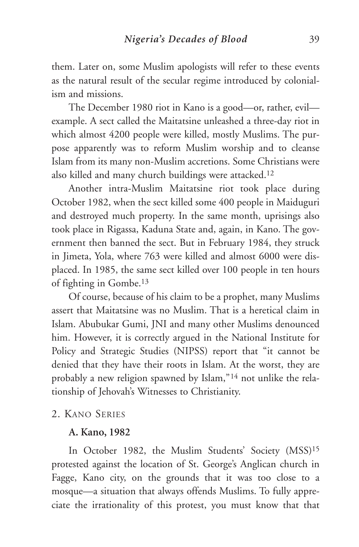them. Later on, some Muslim apologists will refer to these events as the natural result of the secular regime introduced by colonialism and missions.

The December 1980 riot in Kano is a good—or, rather, evil example. A sect called the Maitatsine unleashed a three-day riot in which almost 4200 people were killed, mostly Muslims. The purpose apparently was to reform Muslim worship and to cleanse Islam from its many non-Muslim accretions. Some Christians were also killed and many church buildings were attacked.12

Another intra-Muslim Maitatsine riot took place during October 1982, when the sect killed some 400 people in Maiduguri and destroyed much property. In the same month, uprisings also took place in Rigassa, Kaduna State and, again, in Kano. The government then banned the sect. But in February 1984, they struck in Jimeta, Yola, where 763 were killed and almost 6000 were displaced. In 1985, the same sect killed over 100 people in ten hours of fighting in Gombe.13

Of course, because of his claim to be a prophet, many Muslims assert that Maitatsine was no Muslim. That is a heretical claim in Islam. Abubukar Gumi, JNI and many other Muslims denounced him. However, it is correctly argued in the National Institute for Policy and Strategic Studies (NIPSS) report that "it cannot be denied that they have their roots in Islam. At the worst, they are probably a new religion spawned by Islam,"14 not unlike the relationship of Jehovah's Witnesses to Christianity.

#### 2. KANO SERIES

#### **A. Kano, 1982**

In October 1982, the Muslim Students' Society (MSS)<sup>15</sup> protested against the location of St. George's Anglican church in Fagge, Kano city, on the grounds that it was too close to a mosque—a situation that always offends Muslims. To fully appreciate the irrationality of this protest, you must know that that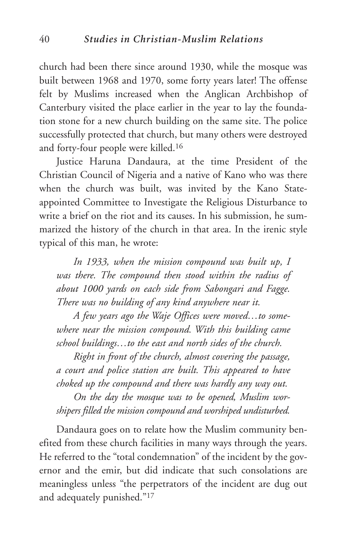church had been there since around 1930, while the mosque was built between 1968 and 1970, some forty years later! The offense felt by Muslims increased when the Anglican Archbishop of Canterbury visited the place earlier in the year to lay the foundation stone for a new church building on the same site. The police successfully protected that church, but many others were destroyed and forty-four people were killed.16

Justice Haruna Dandaura, at the time President of the Christian Council of Nigeria and a native of Kano who was there when the church was built, was invited by the Kano Stateappointed Committee to Investigate the Religious Disturbance to write a brief on the riot and its causes. In his submission, he summarized the history of the church in that area. In the irenic style typical of this man, he wrote:

*In 1933, when the mission compound was built up, I was there. The compound then stood within the radius of about 1000 yards on each side from Sabongari and Fagge. There was no building of any kind anywhere near it.*

*A few years ago the Waje Offices were moved…to somewhere near the mission compound. With this building came school buildings…to the east and north sides of the church.*

*Right in front of the church, almost covering the passage, a court and police station are built. This appeared to have choked up the compound and there was hardly any way out.*

*On the day the mosque was to be opened, Muslim worshipers filled the mission compound and worshiped undisturbed.*

Dandaura goes on to relate how the Muslim community benefited from these church facilities in many ways through the years. He referred to the "total condemnation" of the incident by the governor and the emir, but did indicate that such consolations are meaningless unless "the perpetrators of the incident are dug out and adequately punished."17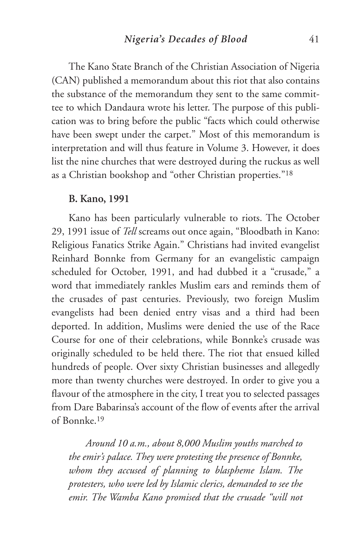The Kano State Branch of the Christian Association of Nigeria (CAN) published a memorandum about this riot that also contains the substance of the memorandum they sent to the same committee to which Dandaura wrote his letter. The purpose of this publication was to bring before the public "facts which could otherwise have been swept under the carpet." Most of this memorandum is interpretation and will thus feature in Volume 3. However, it does list the nine churches that were destroyed during the ruckus as well as a Christian bookshop and "other Christian properties."18

#### **B. Kano, 1991**

Kano has been particularly vulnerable to riots. The October 29, 1991 issue of *Tell* screams out once again, "Bloodbath in Kano: Religious Fanatics Strike Again." Christians had invited evangelist Reinhard Bonnke from Germany for an evangelistic campaign scheduled for October, 1991, and had dubbed it a "crusade," a word that immediately rankles Muslim ears and reminds them of the crusades of past centuries. Previously, two foreign Muslim evangelists had been denied entry visas and a third had been deported. In addition, Muslims were denied the use of the Race Course for one of their celebrations, while Bonnke's crusade was originally scheduled to be held there. The riot that ensued killed hundreds of people. Over sixty Christian businesses and allegedly more than twenty churches were destroyed. In order to give you a flavour of the atmosphere in the city, I treat you to selected passages from Dare Babarinsa's account of the flow of events after the arrival of Bonnke.19

*Around 10 a.m., about 8,000 Muslim youths marched to the emir's palace. They were protesting the presence of Bonnke, whom they accused of planning to blaspheme Islam. The protesters, who were led by Islamic clerics, demanded to see the emir. The Wamba Kano promised that the crusade "will not*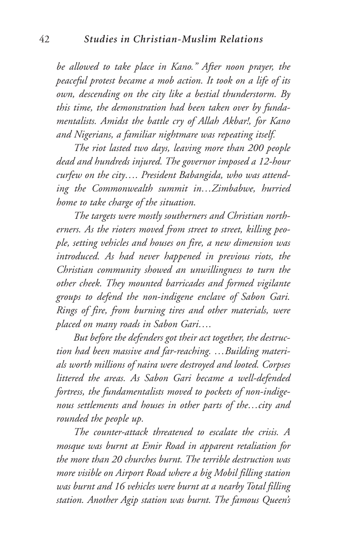*be allowed to take place in Kano." After noon prayer, the peaceful protest became a mob action. It took on a life of its own, descending on the city like a bestial thunderstorm. By this time, the demonstration had been taken over by fundamentalists. Amidst the battle cry of Allah Akbar!, for Kano and Nigerians, a familiar nightmare was repeating itself.*

*The riot lasted two days, leaving more than 200 people dead and hundreds injured. The governor imposed a 12-hour curfew on the city…. President Babangida, who was attending the Commonwealth summit in…Zimbabwe, hurried home to take charge of the situation.*

*The targets were mostly southerners and Christian northerners. As the rioters moved from street to street, killing people, setting vehicles and houses on fire, a new dimension was introduced. As had never happened in previous riots, the Christian community showed an unwillingness to turn the other cheek. They mounted barricades and formed vigilante groups to defend the non-indigene enclave of Sabon Gari. Rings of fire, from burning tires and other materials, were placed on many roads in Sabon Gari….*

*But before the defenders got their act together, the destruction had been massive and far-reaching. …Building materials worth millions of naira were destroyed and looted. Corpses littered the areas. As Sabon Gari became a well-defended fortress, the fundamentalists moved to pockets of non-indigenous settlements and houses in other parts of the…city and rounded the people up.*

*The counter-attack threatened to escalate the crisis. A mosque was burnt at Emir Road in apparent retaliation for the more than 20 churches burnt. The terrible destruction was more visible on Airport Road where a big Mobil filling station was burnt and 16 vehicles were burnt at a nearby Total filling station. Another Agip station was burnt. The famous Queen's*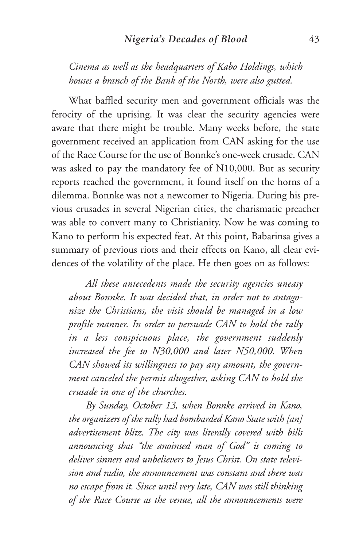#### *Nigeria's Decades of Blood* 43

*Cinema as well as the headquarters of Kabo Holdings, which houses a branch of the Bank of the North, were also gutted.*

What baffled security men and government officials was the ferocity of the uprising. It was clear the security agencies were aware that there might be trouble. Many weeks before, the state government received an application from CAN asking for the use of the Race Course for the use of Bonnke's one-week crusade. CAN was asked to pay the mandatory fee of N10,000. But as security reports reached the government, it found itself on the horns of a dilemma. Bonnke was not a newcomer to Nigeria. During his previous crusades in several Nigerian cities, the charismatic preacher was able to convert many to Christianity. Now he was coming to Kano to perform his expected feat. At this point, Babarinsa gives a summary of previous riots and their effects on Kano, all clear evidences of the volatility of the place. He then goes on as follows:

*All these antecedents made the security agencies uneasy about Bonnke. It was decided that, in order not to antagonize the Christians, the visit should be managed in a low profile manner. In order to persuade CAN to hold the rally in a less conspicuous place, the government suddenly increased the fee to N30,000 and later N50,000. When CAN showed its willingness to pay any amount, the government canceled the permit altogether, asking CAN to hold the crusade in one of the churches.*

*By Sunday, October 13, when Bonnke arrived in Kano, the organizers of the rally had bombarded Kano State with [an] advertisement blitz. The city was literally covered with bills announcing that "the anointed man of God" is coming to deliver sinners and unbelievers to Jesus Christ. On state television and radio, the announcement was constant and there was no escape from it. Since until very late, CAN was still thinking of the Race Course as the venue, all the announcements were*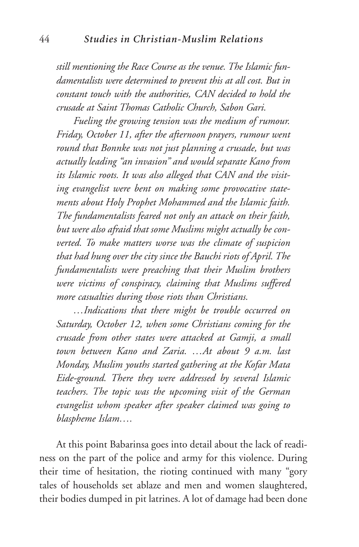*still mentioning the Race Course as the venue. The Islamic fundamentalists were determined to prevent this at all cost. But in constant touch with the authorities, CAN decided to hold the crusade at Saint Thomas Catholic Church, Sabon Gari.*

*Fueling the growing tension was the medium of rumour. Friday, October 11, after the afternoon prayers, rumour went round that Bonnke was not just planning a crusade, but was actually leading "an invasion" and would separate Kano from its Islamic roots. It was also alleged that CAN and the visiting evangelist were bent on making some provocative statements about Holy Prophet Mohammed and the Islamic faith. The fundamentalists feared not only an attack on their faith, but were also afraid that some Muslims might actually be converted. To make matters worse was the climate of suspicion that had hung over the city since the Bauchi riots of April. The fundamentalists were preaching that their Muslim brothers were victims of conspiracy, claiming that Muslims suffered more casualties during those riots than Christians.*

*…Indications that there might be trouble occurred on Saturday, October 12, when some Christians coming for the crusade from other states were attacked at Gamji, a small town between Kano and Zaria. …At about 9 a.m. last Monday, Muslim youths started gathering at the Kofar Mata Eide-ground. There they were addressed by several Islamic teachers. The topic was the upcoming visit of the German evangelist whom speaker after speaker claimed was going to blaspheme Islam….*

At this point Babarinsa goes into detail about the lack of readiness on the part of the police and army for this violence. During their time of hesitation, the rioting continued with many "gory tales of households set ablaze and men and women slaughtered, their bodies dumped in pit latrines. A lot of damage had been done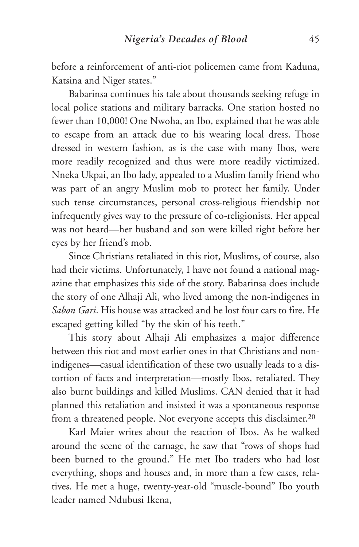before a reinforcement of anti-riot policemen came from Kaduna, Katsina and Niger states."

Babarinsa continues his tale about thousands seeking refuge in local police stations and military barracks. One station hosted no fewer than 10,000! One Nwoha, an Ibo, explained that he was able to escape from an attack due to his wearing local dress. Those dressed in western fashion, as is the case with many Ibos, were more readily recognized and thus were more readily victimized. Nneka Ukpai, an Ibo lady, appealed to a Muslim family friend who was part of an angry Muslim mob to protect her family. Under such tense circumstances, personal cross-religious friendship not infrequently gives way to the pressure of co-religionists. Her appeal was not heard—her husband and son were killed right before her eyes by her friend's mob.

Since Christians retaliated in this riot, Muslims, of course, also had their victims. Unfortunately, I have not found a national magazine that emphasizes this side of the story. Babarinsa does include the story of one Alhaji Ali, who lived among the non-indigenes in *Sabon Gari*. His house was attacked and he lost four cars to fire. He escaped getting killed "by the skin of his teeth."

This story about Alhaji Ali emphasizes a major difference between this riot and most earlier ones in that Christians and nonindigenes—casual identification of these two usually leads to a distortion of facts and interpretation—mostly Ibos, retaliated. They also burnt buildings and killed Muslims. CAN denied that it had planned this retaliation and insisted it was a spontaneous response from a threatened people. Not everyone accepts this disclaimer.20

Karl Maier writes about the reaction of Ibos. As he walked around the scene of the carnage, he saw that "rows of shops had been burned to the ground." He met Ibo traders who had lost everything, shops and houses and, in more than a few cases, relatives. He met a huge, twenty-year-old "muscle-bound" Ibo youth leader named Ndubusi Ikena,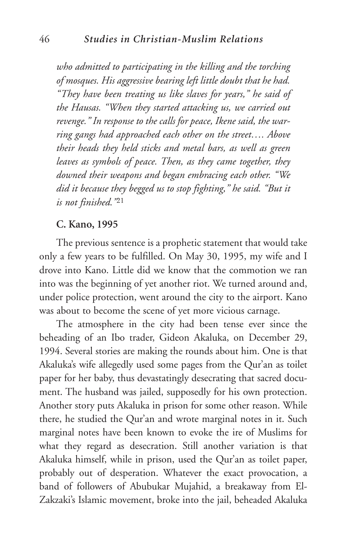*who admitted to participating in the killing and the torching of mosques. His aggressive bearing left little doubt that he had. "They have been treating us like slaves for years," he said of the Hausas. "When they started attacking us, we carried out revenge." In response to the calls for peace, Ikene said, the warring gangs had approached each other on the street…. Above their heads they held sticks and metal bars, as well as green leaves as symbols of peace. Then, as they came together, they downed their weapons and began embracing each other. "We did it because they begged us to stop fighting," he said. "But it is not finished."*<sup>21</sup>

#### **C. Kano, 1995**

The previous sentence is a prophetic statement that would take only a few years to be fulfilled. On May 30, 1995, my wife and I drove into Kano. Little did we know that the commotion we ran into was the beginning of yet another riot. We turned around and, under police protection, went around the city to the airport. Kano was about to become the scene of yet more vicious carnage.

The atmosphere in the city had been tense ever since the beheading of an Ibo trader, Gideon Akaluka, on December 29, 1994. Several stories are making the rounds about him. One is that Akaluka's wife allegedly used some pages from the Qur'an as toilet paper for her baby, thus devastatingly desecrating that sacred document. The husband was jailed, supposedly for his own protection. Another story puts Akaluka in prison for some other reason. While there, he studied the Qur'an and wrote marginal notes in it. Such marginal notes have been known to evoke the ire of Muslims for what they regard as desecration. Still another variation is that Akaluka himself, while in prison, used the Qur'an as toilet paper, probably out of desperation. Whatever the exact provocation, a band of followers of Abubukar Mujahid, a breakaway from El-Zakzaki's Islamic movement, broke into the jail, beheaded Akaluka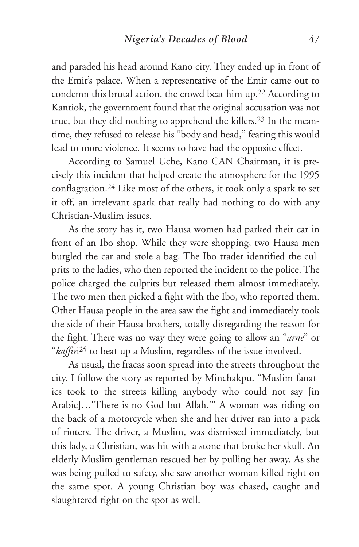and paraded his head around Kano city. They ended up in front of the Emir's palace. When a representative of the Emir came out to condemn this brutal action, the crowd beat him up.22 According to Kantiok, the government found that the original accusation was not true, but they did nothing to apprehend the killers.23 In the meantime, they refused to release his "body and head," fearing this would lead to more violence. It seems to have had the opposite effect.

According to Samuel Uche, Kano CAN Chairman, it is precisely this incident that helped create the atmosphere for the 1995 conflagration.24 Like most of the others, it took only a spark to set it off, an irrelevant spark that really had nothing to do with any Christian-Muslim issues.

As the story has it, two Hausa women had parked their car in front of an Ibo shop. While they were shopping, two Hausa men burgled the car and stole a bag. The Ibo trader identified the culprits to the ladies, who then reported the incident to the police. The police charged the culprits but released them almost immediately. The two men then picked a fight with the Ibo, who reported them. Other Hausa people in the area saw the fight and immediately took the side of their Hausa brothers, totally disregarding the reason for the fight. There was no way they were going to allow an "*arne*" or "*kaffir*i25 to beat up a Muslim, regardless of the issue involved.

As usual, the fracas soon spread into the streets throughout the city. I follow the story as reported by Minchakpu. "Muslim fanatics took to the streets killing anybody who could not say [in Arabic]…'There is no God but Allah.'" A woman was riding on the back of a motorcycle when she and her driver ran into a pack of rioters. The driver, a Muslim, was dismissed immediately, but this lady, a Christian, was hit with a stone that broke her skull. An elderly Muslim gentleman rescued her by pulling her away. As she was being pulled to safety, she saw another woman killed right on the same spot. A young Christian boy was chased, caught and slaughtered right on the spot as well.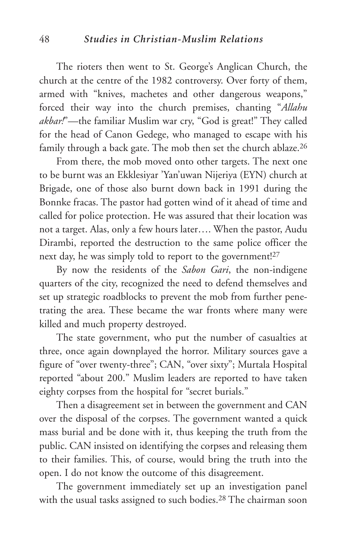The rioters then went to St. George's Anglican Church, the church at the centre of the 1982 controversy. Over forty of them, armed with "knives, machetes and other dangerous weapons," forced their way into the church premises, chanting "*Allahu akbar!*"—the familiar Muslim war cry, "God is great!" They called for the head of Canon Gedege, who managed to escape with his family through a back gate. The mob then set the church ablaze.<sup>26</sup>

From there, the mob moved onto other targets. The next one to be burnt was an Ekklesiyar 'Yan'uwan Nijeriya (EYN) church at Brigade, one of those also burnt down back in 1991 during the Bonnke fracas. The pastor had gotten wind of it ahead of time and called for police protection. He was assured that their location was not a target. Alas, only a few hours later…. When the pastor, Audu Dirambi, reported the destruction to the same police officer the next day, he was simply told to report to the government!27

By now the residents of the *Sabon Gari*, the non-indigene quarters of the city, recognized the need to defend themselves and set up strategic roadblocks to prevent the mob from further penetrating the area. These became the war fronts where many were killed and much property destroyed.

The state government, who put the number of casualties at three, once again downplayed the horror. Military sources gave a figure of "over twenty-three"; CAN, "over sixty"; Murtala Hospital reported "about 200." Muslim leaders are reported to have taken eighty corpses from the hospital for "secret burials."

Then a disagreement set in between the government and CAN over the disposal of the corpses. The government wanted a quick mass burial and be done with it, thus keeping the truth from the public. CAN insisted on identifying the corpses and releasing them to their families. This, of course, would bring the truth into the open. I do not know the outcome of this disagreement.

The government immediately set up an investigation panel with the usual tasks assigned to such bodies.28 The chairman soon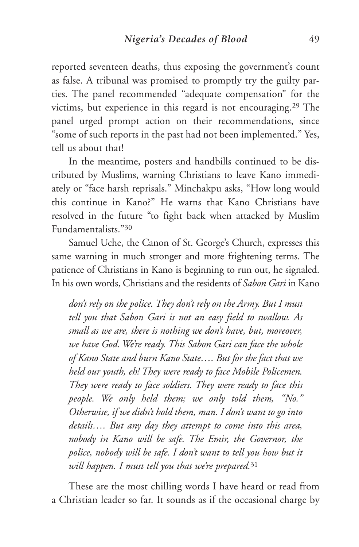reported seventeen deaths, thus exposing the government's count as false. A tribunal was promised to promptly try the guilty parties. The panel recommended "adequate compensation" for the victims, but experience in this regard is not encouraging.29 The panel urged prompt action on their recommendations, since "some of such reports in the past had not been implemented." Yes, tell us about that!

In the meantime, posters and handbills continued to be distributed by Muslims, warning Christians to leave Kano immediately or "face harsh reprisals." Minchakpu asks, "How long would this continue in Kano?" He warns that Kano Christians have resolved in the future "to fight back when attacked by Muslim Fundamentalists."30

Samuel Uche, the Canon of St. George's Church, expresses this same warning in much stronger and more frightening terms. The patience of Christians in Kano is beginning to run out, he signaled. In his own words, Christians and the residents of *Sabon Gari* in Kano

*don't rely on the police. They don't rely on the Army. But I must tell you that Sabon Gari is not an easy field to swallow. As small as we are, there is nothing we don't have, but, moreover, we have God. We're ready. This Sabon Gari can face the whole of Kano State and burn Kano State…. But for the fact that we held our youth, eh! They were ready to face Mobile Policemen. They were ready to face soldiers. They were ready to face this people. We only held them; we only told them, "No." Otherwise, if we didn't hold them, man. I don't want to go into details…. But any day they attempt to come into this area, nobody in Kano will be safe. The Emir, the Governor, the police, nobody will be safe. I don't want to tell you how but it will happen. I must tell you that we're prepared.*<sup>31</sup>

These are the most chilling words I have heard or read from a Christian leader so far. It sounds as if the occasional charge by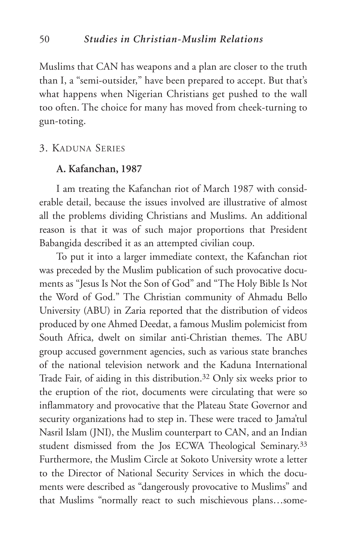Muslims that CAN has weapons and a plan are closer to the truth than I, a "semi-outsider," have been prepared to accept. But that's what happens when Nigerian Christians get pushed to the wall too often. The choice for many has moved from cheek-turning to gun-toting.

#### 3. KADUNA SERIES

#### **A. Kafanchan, 1987**

I am treating the Kafanchan riot of March 1987 with considerable detail, because the issues involved are illustrative of almost all the problems dividing Christians and Muslims. An additional reason is that it was of such major proportions that President Babangida described it as an attempted civilian coup.

To put it into a larger immediate context, the Kafanchan riot was preceded by the Muslim publication of such provocative documents as "Jesus Is Not the Son of God" and "The Holy Bible Is Not the Word of God." The Christian community of Ahmadu Bello University (ABU) in Zaria reported that the distribution of videos produced by one Ahmed Deedat, a famous Muslim polemicist from South Africa, dwelt on similar anti-Christian themes. The ABU group accused government agencies, such as various state branches of the national television network and the Kaduna International Trade Fair, of aiding in this distribution.32 Only six weeks prior to the eruption of the riot, documents were circulating that were so inflammatory and provocative that the Plateau State Governor and security organizations had to step in. These were traced to Jama'tul Nasril Islam (JNI), the Muslim counterpart to CAN, and an Indian student dismissed from the Jos ECWA Theological Seminary.<sup>33</sup> Furthermore, the Muslim Circle at Sokoto University wrote a letter to the Director of National Security Services in which the documents were described as "dangerously provocative to Muslims" and that Muslims "normally react to such mischievous plans…some-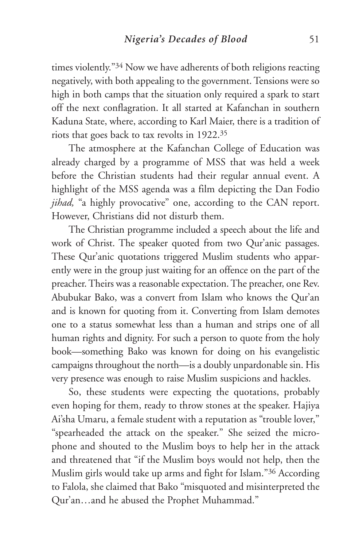times violently."34 Now we have adherents of both religions reacting negatively, with both appealing to the government. Tensions were so high in both camps that the situation only required a spark to start off the next conflagration. It all started at Kafanchan in southern Kaduna State, where, according to Karl Maier, there is a tradition of riots that goes back to tax revolts in 1922.35

The atmosphere at the Kafanchan College of Education was already charged by a programme of MSS that was held a week before the Christian students had their regular annual event. A highlight of the MSS agenda was a film depicting the Dan Fodio *jihad*, "a highly provocative" one, according to the CAN report. However, Christians did not disturb them.

The Christian programme included a speech about the life and work of Christ. The speaker quoted from two Qur'anic passages. These Qur'anic quotations triggered Muslim students who apparently were in the group just waiting for an offence on the part of the preacher. Theirs was a reasonable expectation. The preacher, one Rev. Abubukar Bako, was a convert from Islam who knows the Qur'an and is known for quoting from it. Converting from Islam demotes one to a status somewhat less than a human and strips one of all human rights and dignity. For such a person to quote from the holy book—something Bako was known for doing on his evangelistic campaigns throughout the north—is a doubly unpardonable sin. His very presence was enough to raise Muslim suspicions and hackles.

So, these students were expecting the quotations, probably even hoping for them, ready to throw stones at the speaker. Hajiya Ai'sha Umaru, a female student with a reputation as "trouble lover," "spearheaded the attack on the speaker." She seized the microphone and shouted to the Muslim boys to help her in the attack and threatened that "if the Muslim boys would not help, then the Muslim girls would take up arms and fight for Islam."36 According to Falola, she claimed that Bako "misquoted and misinterpreted the Qur'an…and he abused the Prophet Muhammad."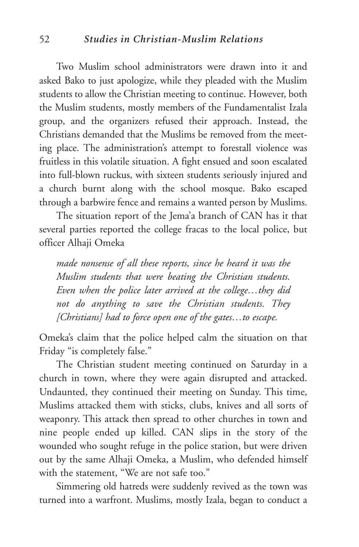#### 52 *Studies in Christian-Muslim Relations*

Two Muslim school administrators were drawn into it and asked Bako to just apologize, while they pleaded with the Muslim students to allow the Christian meeting to continue. However, both the Muslim students, mostly members of the Fundamentalist Izala group, and the organizers refused their approach. Instead, the Christians demanded that the Muslims be removed from the meeting place. The administration's attempt to forestall violence was fruitless in this volatile situation. A fight ensued and soon escalated into full-blown ruckus, with sixteen students seriously injured and a church burnt along with the school mosque. Bako escaped through a barbwire fence and remains a wanted person by Muslims.

The situation report of the Jema'a branch of CAN has it that several parties reported the college fracas to the local police, but officer Alhaji Omeka

*made nonsense of all these reports, since he heard it was the Muslim students that were beating the Christian students. Even when the police later arrived at the college…they did not do anything to save the Christian students. They [Christians] had to force open one of the gates…to escape.* 

Omeka's claim that the police helped calm the situation on that Friday "is completely false."

The Christian student meeting continued on Saturday in a church in town, where they were again disrupted and attacked. Undaunted, they continued their meeting on Sunday. This time, Muslims attacked them with sticks, clubs, knives and all sorts of weaponry. This attack then spread to other churches in town and nine people ended up killed. CAN slips in the story of the wounded who sought refuge in the police station, but were driven out by the same Alhaji Omeka, a Muslim, who defended himself with the statement, "We are not safe too."

Simmering old hatreds were suddenly revived as the town was turned into a warfront. Muslims, mostly Izala, began to conduct a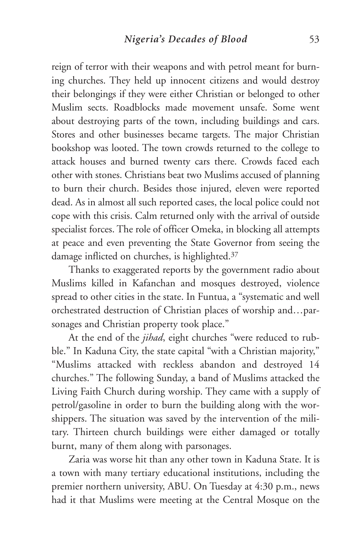reign of terror with their weapons and with petrol meant for burning churches. They held up innocent citizens and would destroy their belongings if they were either Christian or belonged to other Muslim sects. Roadblocks made movement unsafe. Some went about destroying parts of the town, including buildings and cars. Stores and other businesses became targets. The major Christian bookshop was looted. The town crowds returned to the college to attack houses and burned twenty cars there. Crowds faced each other with stones. Christians beat two Muslims accused of planning to burn their church. Besides those injured, eleven were reported dead. As in almost all such reported cases, the local police could not cope with this crisis. Calm returned only with the arrival of outside specialist forces. The role of officer Omeka, in blocking all attempts at peace and even preventing the State Governor from seeing the damage inflicted on churches, is highlighted.37

Thanks to exaggerated reports by the government radio about Muslims killed in Kafanchan and mosques destroyed, violence spread to other cities in the state. In Funtua, a "systematic and well orchestrated destruction of Christian places of worship and…parsonages and Christian property took place."

At the end of the *jihad*, eight churches "were reduced to rubble." In Kaduna City, the state capital "with a Christian majority," "Muslims attacked with reckless abandon and destroyed 14 churches." The following Sunday, a band of Muslims attacked the Living Faith Church during worship. They came with a supply of petrol/gasoline in order to burn the building along with the worshippers. The situation was saved by the intervention of the military. Thirteen church buildings were either damaged or totally burnt, many of them along with parsonages.

Zaria was worse hit than any other town in Kaduna State. It is a town with many tertiary educational institutions, including the premier northern university, ABU. On Tuesday at 4:30 p.m., news had it that Muslims were meeting at the Central Mosque on the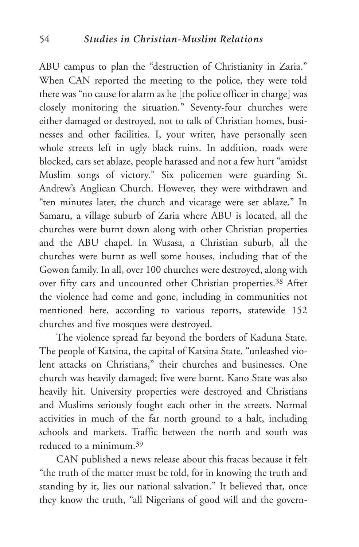ABU campus to plan the "destruction of Christianity in Zaria." When CAN reported the meeting to the police, they were told there was "no cause for alarm as he [the police officer in charge] was closely monitoring the situation." Seventy-four churches were either damaged or destroyed, not to talk of Christian homes, businesses and other facilities. I, your writer, have personally seen whole streets left in ugly black ruins. In addition, roads were blocked, cars set ablaze, people harassed and not a few hurt "amidst Muslim songs of victory." Six policemen were guarding St. Andrew's Anglican Church. However, they were withdrawn and "ten minutes later, the church and vicarage were set ablaze." In Samaru, a village suburb of Zaria where ABU is located, all the churches were burnt down along with other Christian properties and the ABU chapel. In Wusasa, a Christian suburb, all the churches were burnt as well some houses, including that of the Gowon family. In all, over 100 churches were destroyed, along with over fifty cars and uncounted other Christian properties.38 After the violence had come and gone, including in communities not mentioned here, according to various reports, statewide 152 churches and five mosques were destroyed.

The violence spread far beyond the borders of Kaduna State. The people of Katsina, the capital of Katsina State, "unleashed violent attacks on Christians," their churches and businesses. One church was heavily damaged; five were burnt. Kano State was also heavily hit. University properties were destroyed and Christians and Muslims seriously fought each other in the streets. Normal activities in much of the far north ground to a halt, including schools and markets. Traffic between the north and south was reduced to a minimum.39

CAN published a news release about this fracas because it felt "the truth of the matter must be told, for in knowing the truth and standing by it, lies our national salvation." It believed that, once they know the truth, "all Nigerians of good will and the govern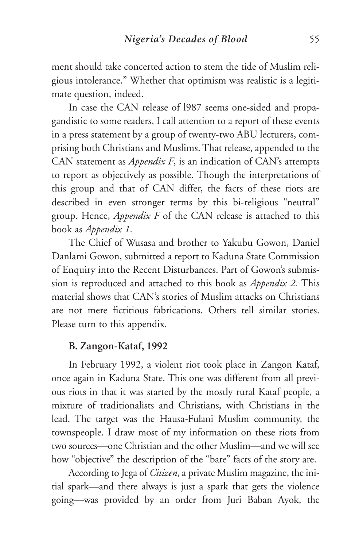ment should take concerted action to stem the tide of Muslim religious intolerance." Whether that optimism was realistic is a legitimate question, indeed.

In case the CAN release of l987 seems one-sided and propagandistic to some readers, I call attention to a report of these events in a press statement by a group of twenty-two ABU lecturers, comprising both Christians and Muslims. That release, appended to the CAN statement as *Appendix F*, is an indication of CAN's attempts to report as objectively as possible. Though the interpretations of this group and that of CAN differ, the facts of these riots are described in even stronger terms by this bi-religious "neutral" group. Hence, *Appendix F* of the CAN release is attached to this book as *Appendix 1*.

The Chief of Wusasa and brother to Yakubu Gowon, Daniel Danlami Gowon, submitted a report to Kaduna State Commission of Enquiry into the Recent Disturbances. Part of Gowon's submission is reproduced and attached to this book as *Appendix 2.* This material shows that CAN's stories of Muslim attacks on Christians are not mere fictitious fabrications. Others tell similar stories. Please turn to this appendix.

#### **B. Zangon-Kataf, 1992**

In February 1992, a violent riot took place in Zangon Kataf, once again in Kaduna State. This one was different from all previous riots in that it was started by the mostly rural Kataf people, a mixture of traditionalists and Christians, with Christians in the lead. The target was the Hausa-Fulani Muslim community, the townspeople. I draw most of my information on these riots from two sources—one Christian and the other Muslim—and we will see how "objective" the description of the "bare" facts of the story are.

According to Jega of *Citizen*, a private Muslim magazine, the initial spark—and there always is just a spark that gets the violence going—was provided by an order from Juri Baban Ayok, the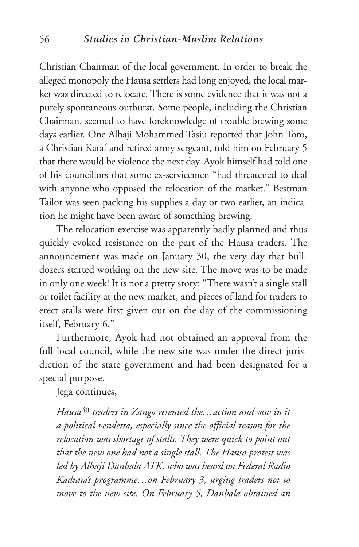Christian Chairman of the local government. In order to break the alleged monopoly the Hausa settlers had long enjoyed, the local market was directed to relocate. There is some evidence that it was not a purely spontaneous outburst. Some people, including the Christian Chairman, seemed to have foreknowledge of trouble brewing some days earlier. One Alhaji Mohammed Tasiu reported that John Toro, a Christian Kataf and retired army sergeant, told him on February 5 that there would be violence the next day. Ayok himself had told one of his councillors that some ex-servicemen "had threatened to deal with anyone who opposed the relocation of the market." Bestman Tailor was seen packing his supplies a day or two earlier, an indication he might have been aware of something brewing.

The relocation exercise was apparently badly planned and thus quickly evoked resistance on the part of the Hausa traders. The announcement was made on January 30, the very day that bulldozers started working on the new site. The move was to be made in only one week! It is not a pretty story: "There wasn't a single stall or toilet facility at the new market, and pieces of land for traders to erect stalls were first given out on the day of the commissioning itself, February 6."

Furthermore, Ayok had not obtained an approval from the full local council, while the new site was under the direct jurisdiction of the state government and had been designated for a special purpose.

Jega continues,

*Hausa*<sup>40</sup> *traders in Zango resented the…action and saw in it a political vendetta, especially since the official reason for the relocation was shortage of stalls. They were quick to point out that the new one had not a single stall. The Hausa protest was led by Alhaji Danbala ATK, who was heard on Federal Radio Kaduna's programme…on February 3, urging traders not to move to the new site. On February 5, Danbala obtained an*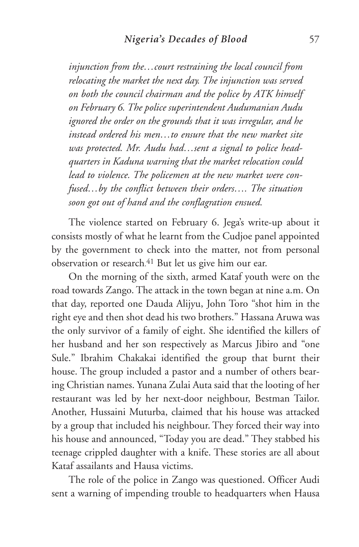*injunction from the…court restraining the local council from relocating the market the next day. The injunction was served on both the council chairman and the police by ATK himself on February 6. The police superintendent Audumanian Audu ignored the order on the grounds that it was irregular, and he instead ordered his men…to ensure that the new market site was protected. Mr. Audu had…sent a signal to police headquarters in Kaduna warning that the market relocation could lead to violence. The policemen at the new market were confused…by the conflict between their orders…. The situation soon got out of hand and the conflagration ensued.*

The violence started on February 6. Jega's write-up about it consists mostly of what he learnt from the Cudjoe panel appointed by the government to check into the matter, not from personal observation or research. <sup>41</sup> But let us give him our ear.

On the morning of the sixth, armed Kataf youth were on the road towards Zango. The attack in the town began at nine a.m. On that day, reported one Dauda Alijyu, John Toro "shot him in the right eye and then shot dead his two brothers." Hassana Aruwa was the only survivor of a family of eight. She identified the killers of her husband and her son respectively as Marcus Jibiro and "one Sule." Ibrahim Chakakai identified the group that burnt their house. The group included a pastor and a number of others bearing Christian names. Yunana Zulai Auta said that the looting of her restaurant was led by her next-door neighbour, Bestman Tailor. Another, Hussaini Muturba, claimed that his house was attacked by a group that included his neighbour. They forced their way into his house and announced, "Today you are dead." They stabbed his teenage crippled daughter with a knife. These stories are all about Kataf assailants and Hausa victims.

The role of the police in Zango was questioned. Officer Audi sent a warning of impending trouble to headquarters when Hausa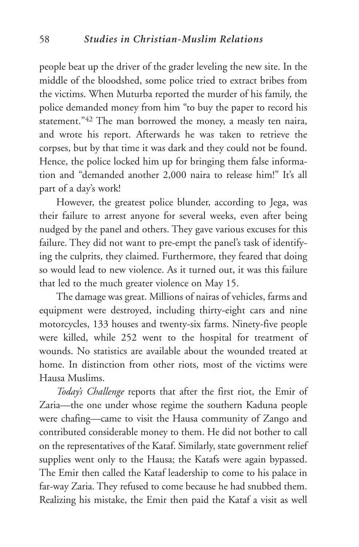people beat up the driver of the grader leveling the new site. In the middle of the bloodshed, some police tried to extract bribes from the victims. When Muturba reported the murder of his family, the police demanded money from him "to buy the paper to record his statement."42 The man borrowed the money, a measly ten naira, and wrote his report. Afterwards he was taken to retrieve the corpses, but by that time it was dark and they could not be found. Hence, the police locked him up for bringing them false information and "demanded another 2,000 naira to release him!" It's all part of a day's work!

However, the greatest police blunder, according to Jega, was their failure to arrest anyone for several weeks, even after being nudged by the panel and others. They gave various excuses for this failure. They did not want to pre-empt the panel's task of identifying the culprits, they claimed. Furthermore, they feared that doing so would lead to new violence. As it turned out, it was this failure that led to the much greater violence on May 15.

The damage was great. Millions of nairas of vehicles, farms and equipment were destroyed, including thirty-eight cars and nine motorcycles, 133 houses and twenty-six farms. Ninety-five people were killed, while 252 went to the hospital for treatment of wounds. No statistics are available about the wounded treated at home. In distinction from other riots, most of the victims were Hausa Muslims.

*Today's Challenge* reports that after the first riot, the Emir of Zaria—the one under whose regime the southern Kaduna people were chafing—came to visit the Hausa community of Zango and contributed considerable money to them. He did not bother to call on the representatives of the Kataf. Similarly, state government relief supplies went only to the Hausa; the Katafs were again bypassed. The Emir then called the Kataf leadership to come to his palace in far-way Zaria. They refused to come because he had snubbed them. Realizing his mistake, the Emir then paid the Kataf a visit as well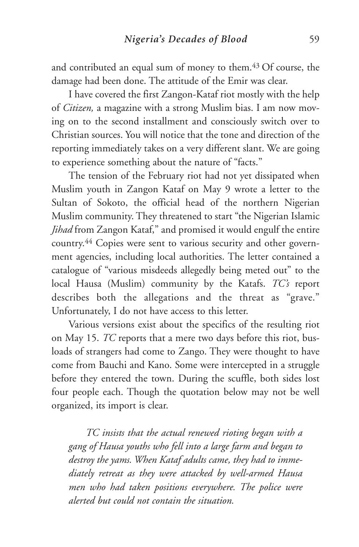and contributed an equal sum of money to them.43 Of course, the damage had been done. The attitude of the Emir was clear.

I have covered the first Zangon-Kataf riot mostly with the help of *Citizen,* a magazine with a strong Muslim bias. I am now moving on to the second installment and consciously switch over to Christian sources. You will notice that the tone and direction of the reporting immediately takes on a very different slant. We are going to experience something about the nature of "facts."

The tension of the February riot had not yet dissipated when Muslim youth in Zangon Kataf on May 9 wrote a letter to the Sultan of Sokoto, the official head of the northern Nigerian Muslim community. They threatened to start "the Nigerian Islamic *Jihad* from Zangon Kataf," and promised it would engulf the entire country.44 Copies were sent to various security and other government agencies, including local authorities. The letter contained a catalogue of "various misdeeds allegedly being meted out" to the local Hausa (Muslim) community by the Katafs. *TC's* report describes both the allegations and the threat as "grave." Unfortunately, I do not have access to this letter.

Various versions exist about the specifics of the resulting riot on May 15. *TC* reports that a mere two days before this riot, busloads of strangers had come to Zango. They were thought to have come from Bauchi and Kano. Some were intercepted in a struggle before they entered the town. During the scuffle, both sides lost four people each. Though the quotation below may not be well organized, its import is clear.

*TC insists that the actual renewed rioting began with a gang of Hausa youths who fell into a large farm and began to destroy the yams. When Kataf adults came, they had to immediately retreat as they were attacked by well-armed Hausa men who had taken positions everywhere. The police were alerted but could not contain the situation.*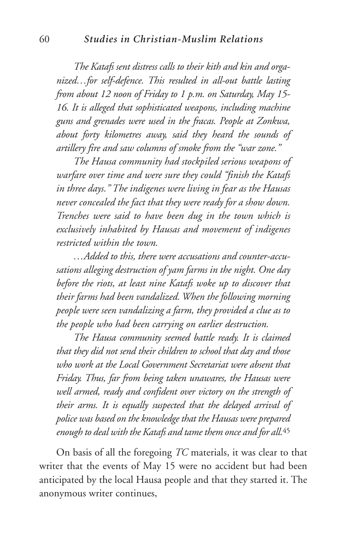*The Katafs sent distress calls to their kith and kin and organized…for self-defence. This resulted in all-out battle lasting from about 12 noon of Friday to 1 p.m. on Saturday, May 15- 16. It is alleged that sophisticated weapons, including machine guns and grenades were used in the fracas. People at Zonkwa, about forty kilometres away, said they heard the sounds of artillery fire and saw columns of smoke from the "war zone."*

*The Hausa community had stockpiled serious weapons of warfare over time and were sure they could "finish the Katafs in three days." The indigenes were living in fear as the Hausas never concealed the fact that they were ready for a show down. Trenches were said to have been dug in the town which is exclusively inhabited by Hausas and movement of indigenes restricted within the town.*

*…Added to this, there were accusations and counter-accusations alleging destruction of yam farms in the night. One day before the riots, at least nine Katafs woke up to discover that their farms had been vandalized. When the following morning people were seen vandalizing a farm, they provided a clue as to the people who had been carrying on earlier destruction.*

*The Hausa community seemed battle ready. It is claimed that they did not send their children to school that day and those who work at the Local Government Secretariat were absent that Friday. Thus, far from being taken unawares, the Hausas were well armed, ready and confident over victory on the strength of their arms. It is equally suspected that the delayed arrival of police was based on the knowledge that the Hausas were prepared enough to deal with the Katafs and tame them once and for all.*<sup>45</sup>

On basis of all the foregoing *TC* materials, it was clear to that writer that the events of May 15 were no accident but had been anticipated by the local Hausa people and that they started it. The anonymous writer continues,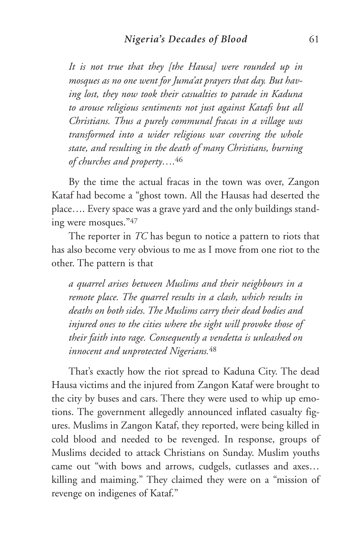*It is not true that they [the Hausa] were rounded up in mosques as no one went for Juma'at prayers that day. But having lost, they now took their casualties to parade in Kaduna to arouse religious sentiments not just against Katafs but all Christians. Thus a purely communal fracas in a village was transformed into a wider religious war covering the whole state, and resulting in the death of many Christians, burning of churches and property….*<sup>46</sup>

By the time the actual fracas in the town was over, Zangon Kataf had become a "ghost town. All the Hausas had deserted the place…. Every space was a grave yard and the only buildings standing were mosques."47

The reporter in *TC* has begun to notice a pattern to riots that has also become very obvious to me as I move from one riot to the other. The pattern is that

*a quarrel arises between Muslims and their neighbours in a remote place. The quarrel results in a clash, which results in deaths on both sides. The Muslims carry their dead bodies and injured ones to the cities where the sight will provoke those of their faith into rage. Consequently a vendetta is unleashed on innocent and unprotected Nigerians.*<sup>48</sup>

That's exactly how the riot spread to Kaduna City. The dead Hausa victims and the injured from Zangon Kataf were brought to the city by buses and cars. There they were used to whip up emotions. The government allegedly announced inflated casualty figures. Muslims in Zangon Kataf, they reported, were being killed in cold blood and needed to be revenged. In response, groups of Muslims decided to attack Christians on Sunday. Muslim youths came out "with bows and arrows, cudgels, cutlasses and axes… killing and maiming." They claimed they were on a "mission of revenge on indigenes of Kataf."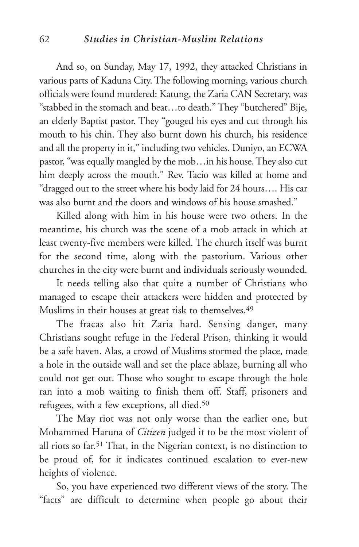#### 62 *Studies in Christian-Muslim Relations*

And so, on Sunday, May 17, 1992, they attacked Christians in various parts of Kaduna City. The following morning, various church officials were found murdered: Katung, the Zaria CAN Secretary, was "stabbed in the stomach and beat…to death." They "butchered" Bije, an elderly Baptist pastor. They "gouged his eyes and cut through his mouth to his chin. They also burnt down his church, his residence and all the property in it," including two vehicles. Duniyo, an ECWA pastor, "was equally mangled by the mob…in his house. They also cut him deeply across the mouth." Rev. Tacio was killed at home and "dragged out to the street where his body laid for 24 hours…. His car was also burnt and the doors and windows of his house smashed."

Killed along with him in his house were two others. In the meantime, his church was the scene of a mob attack in which at least twenty-five members were killed. The church itself was burnt for the second time, along with the pastorium. Various other churches in the city were burnt and individuals seriously wounded.

It needs telling also that quite a number of Christians who managed to escape their attackers were hidden and protected by Muslims in their houses at great risk to themselves.<sup>49</sup>

The fracas also hit Zaria hard. Sensing danger, many Christians sought refuge in the Federal Prison, thinking it would be a safe haven. Alas, a crowd of Muslims stormed the place, made a hole in the outside wall and set the place ablaze, burning all who could not get out. Those who sought to escape through the hole ran into a mob waiting to finish them off. Staff, prisoners and refugees, with a few exceptions, all died.50

The May riot was not only worse than the earlier one, but Mohammed Haruna of *Citizen* judged it to be the most violent of all riots so far.51 That, in the Nigerian context, is no distinction to be proud of, for it indicates continued escalation to ever-new heights of violence.

So, you have experienced two different views of the story. The "facts" are difficult to determine when people go about their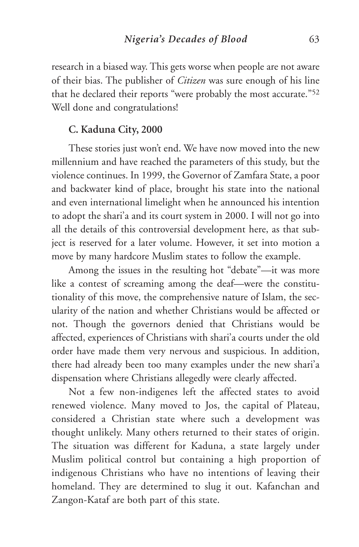research in a biased way. This gets worse when people are not aware of their bias. The publisher of *Citizen* was sure enough of his line that he declared their reports "were probably the most accurate."52 Well done and congratulations!

#### **C. Kaduna City, 2000**

These stories just won't end. We have now moved into the new millennium and have reached the parameters of this study, but the violence continues. In 1999, the Governor of Zamfara State, a poor and backwater kind of place, brought his state into the national and even international limelight when he announced his intention to adopt the shari'a and its court system in 2000. I will not go into all the details of this controversial development here, as that subject is reserved for a later volume. However, it set into motion a move by many hardcore Muslim states to follow the example.

Among the issues in the resulting hot "debate"—it was more like a contest of screaming among the deaf—were the constitutionality of this move, the comprehensive nature of Islam, the secularity of the nation and whether Christians would be affected or not. Though the governors denied that Christians would be affected, experiences of Christians with shari'a courts under the old order have made them very nervous and suspicious. In addition, there had already been too many examples under the new shari'a dispensation where Christians allegedly were clearly affected.

Not a few non-indigenes left the affected states to avoid renewed violence. Many moved to Jos, the capital of Plateau, considered a Christian state where such a development was thought unlikely. Many others returned to their states of origin. The situation was different for Kaduna, a state largely under Muslim political control but containing a high proportion of indigenous Christians who have no intentions of leaving their homeland. They are determined to slug it out. Kafanchan and Zangon-Kataf are both part of this state.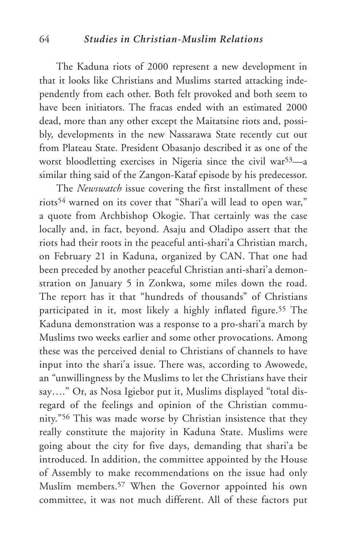The Kaduna riots of 2000 represent a new development in that it looks like Christians and Muslims started attacking independently from each other. Both felt provoked and both seem to have been initiators. The fracas ended with an estimated 2000 dead, more than any other except the Maitatsine riots and, possibly, developments in the new Nassarawa State recently cut out from Plateau State. President Obasanjo described it as one of the worst bloodletting exercises in Nigeria since the civil war53—a similar thing said of the Zangon-Kataf episode by his predecessor.

The *Newswatch* issue covering the first installment of these riots54 warned on its cover that "Shari'a will lead to open war," a quote from Archbishop Okogie. That certainly was the case locally and, in fact, beyond. Asaju and Oladipo assert that the riots had their roots in the peaceful anti-shari'a Christian march, on February 21 in Kaduna, organized by CAN. That one had been preceded by another peaceful Christian anti-shari'a demonstration on January 5 in Zonkwa, some miles down the road. The report has it that "hundreds of thousands" of Christians participated in it, most likely a highly inflated figure.55 The Kaduna demonstration was a response to a pro-shari'a march by Muslims two weeks earlier and some other provocations. Among these was the perceived denial to Christians of channels to have input into the shari'a issue. There was, according to Awowede, an "unwillingness by the Muslims to let the Christians have their say…." Or, as Nosa Igiebor put it, Muslims displayed "total disregard of the feelings and opinion of the Christian community."56 This was made worse by Christian insistence that they really constitute the majority in Kaduna State. Muslims were going about the city for five days, demanding that shari'a be introduced. In addition, the committee appointed by the House of Assembly to make recommendations on the issue had only Muslim members.57 When the Governor appointed his own committee, it was not much different. All of these factors put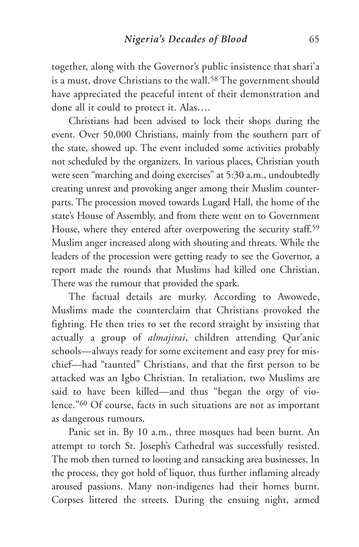together, along with the Governor's public insistence that shari'a is a must, drove Christians to the wall.<sup>58</sup> The government should have appreciated the peaceful intent of their demonstration and done all it could to protect it. Alas….

Christians had been advised to lock their shops during the event. Over 50,000 Christians, mainly from the southern part of the state, showed up. The event included some activities probably not scheduled by the organizers. In various places, Christian youth were seen "marching and doing exercises" at 5:30 a.m., undoubtedly creating unrest and provoking anger among their Muslim counterparts. The procession moved towards Lugard Hall, the home of the state's House of Assembly, and from there went on to Government House, where they entered after overpowering the security staff.<sup>59</sup> Muslim anger increased along with shouting and threats. While the leaders of the procession were getting ready to see the Governor, a report made the rounds that Muslims had killed one Christian. There was the rumour that provided the spark.

The factual details are murky. According to Awowede, Muslims made the counterclaim that Christians provoked the fighting. He then tries to set the record straight by insisting that actually a group of *almajirai*, children attending Qur'anic schools—always ready for some excitement and easy prey for mischief—had "taunted" Christians, and that the first person to be attacked was an Igbo Christian. In retaliation, two Muslims are said to have been killed—and thus "began the orgy of violence."60 Of course, facts in such situations are not as important as dangerous rumours.

Panic set in. By 10 a.m., three mosques had been burnt. An attempt to torch St. Joseph's Cathedral was successfully resisted. The mob then turned to looting and ransacking area businesses. In the process, they got hold of liquor, thus further inflaming already aroused passions. Many non-indigenes had their homes burnt. Corpses littered the streets. During the ensuing night, armed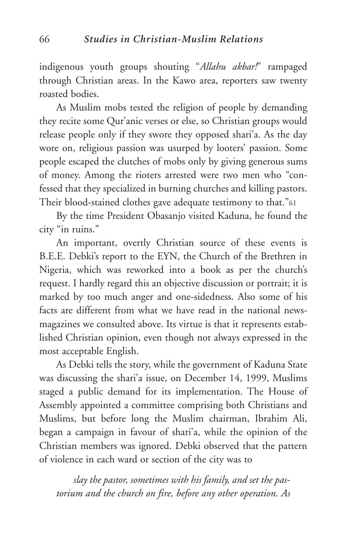indigenous youth groups shouting "*Allahu akbar!*" rampaged through Christian areas. In the Kawo area, reporters saw twenty roasted bodies.

As Muslim mobs tested the religion of people by demanding they recite some Qur'anic verses or else, so Christian groups would release people only if they swore they opposed shari'a. As the day wore on, religious passion was usurped by looters' passion. Some people escaped the clutches of mobs only by giving generous sums of money. Among the rioters arrested were two men who "confessed that they specialized in burning churches and killing pastors. Their blood-stained clothes gave adequate testimony to that."61

By the time President Obasanjo visited Kaduna, he found the city "in ruins."

An important, overtly Christian source of these events is B.E.E. Debki's report to the EYN, the Church of the Brethren in Nigeria, which was reworked into a book as per the church's request. I hardly regard this an objective discussion or portrait; it is marked by too much anger and one-sidedness. Also some of his facts are different from what we have read in the national newsmagazines we consulted above. Its virtue is that it represents established Christian opinion, even though not always expressed in the most acceptable English.

As Debki tells the story, while the government of Kaduna State was discussing the shari'a issue, on December 14, 1999, Muslims staged a public demand for its implementation. The House of Assembly appointed a committee comprising both Christians and Muslims, but before long the Muslim chairman, Ibrahim Ali, began a campaign in favour of shari'a, while the opinion of the Christian members was ignored. Debki observed that the pattern of violence in each ward or section of the city was to

*slay the pastor, sometimes with his family, and set the pastorium and the church on fire, before any other operation. As*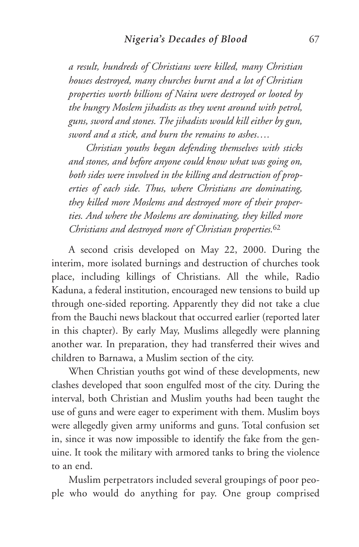*a result, hundreds of Christians were killed, many Christian houses destroyed, many churches burnt and a lot of Christian properties worth billions of Naira were destroyed or looted by the hungry Moslem jihadists as they went around with petrol, guns, sword and stones. The jihadists would kill either by gun, sword and a stick, and burn the remains to ashes….*

*Christian youths began defending themselves with sticks and stones, and before anyone could know what was going on, both sides were involved in the killing and destruction of properties of each side. Thus, where Christians are dominating, they killed more Moslems and destroyed more of their properties. And where the Moslems are dominating, they killed more Christians and destroyed more of Christian properties.*<sup>62</sup>

A second crisis developed on May 22, 2000. During the interim, more isolated burnings and destruction of churches took place, including killings of Christians. All the while, Radio Kaduna, a federal institution, encouraged new tensions to build up through one-sided reporting. Apparently they did not take a clue from the Bauchi news blackout that occurred earlier (reported later in this chapter). By early May, Muslims allegedly were planning another war. In preparation, they had transferred their wives and children to Barnawa, a Muslim section of the city.

When Christian youths got wind of these developments, new clashes developed that soon engulfed most of the city. During the interval, both Christian and Muslim youths had been taught the use of guns and were eager to experiment with them. Muslim boys were allegedly given army uniforms and guns. Total confusion set in, since it was now impossible to identify the fake from the genuine. It took the military with armored tanks to bring the violence to an end.

Muslim perpetrators included several groupings of poor people who would do anything for pay. One group comprised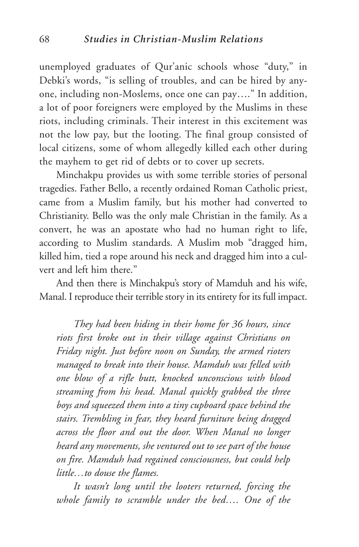unemployed graduates of Qur'anic schools whose "duty," in Debki's words, "is selling of troubles, and can be hired by anyone, including non-Moslems, once one can pay…." In addition, a lot of poor foreigners were employed by the Muslims in these riots, including criminals. Their interest in this excitement was not the low pay, but the looting. The final group consisted of local citizens, some of whom allegedly killed each other during the mayhem to get rid of debts or to cover up secrets.

Minchakpu provides us with some terrible stories of personal tragedies. Father Bello, a recently ordained Roman Catholic priest, came from a Muslim family, but his mother had converted to Christianity. Bello was the only male Christian in the family. As a convert, he was an apostate who had no human right to life, according to Muslim standards. A Muslim mob "dragged him, killed him, tied a rope around his neck and dragged him into a culvert and left him there."

And then there is Minchakpu's story of Mamduh and his wife, Manal. I reproduce their terrible story in its entirety for its full impact.

*They had been hiding in their home for 36 hours, since riots first broke out in their village against Christians on Friday night. Just before noon on Sunday, the armed rioters managed to break into their house. Mamduh was felled with one blow of a rifle butt, knocked unconscious with blood streaming from his head. Manal quickly grabbed the three boys and squeezed them into a tiny cupboard space behind the stairs. Trembling in fear, they heard furniture being dragged across the floor and out the door. When Manal no longer heard any movements, she ventured out to see part of the house on fire. Mamduh had regained consciousness, but could help little…to douse the flames.*

*It wasn't long until the looters returned, forcing the whole family to scramble under the bed…. One of the*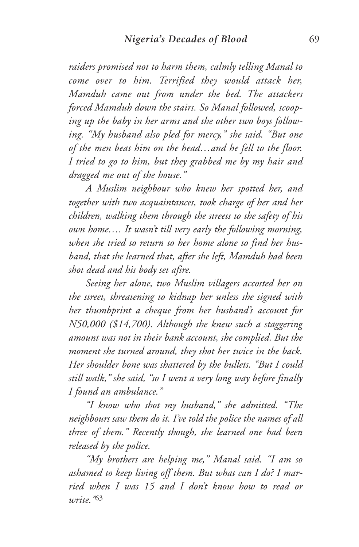*raiders promised not to harm them, calmly telling Manal to come over to him. Terrified they would attack her, Mamduh came out from under the bed. The attackers forced Mamduh down the stairs. So Manal followed, scooping up the baby in her arms and the other two boys following. "My husband also pled for mercy," she said. "But one of the men beat him on the head…and he fell to the floor. I tried to go to him, but they grabbed me by my hair and dragged me out of the house."*

*A Muslim neighbour who knew her spotted her, and together with two acquaintances, took charge of her and her children, walking them through the streets to the safety of his own home…. It wasn't till very early the following morning, when she tried to return to her home alone to find her husband, that she learned that, after she left, Mamduh had been shot dead and his body set afire.*

*Seeing her alone, two Muslim villagers accosted her on the street, threatening to kidnap her unless she signed with her thumbprint a cheque from her husband's account for N50,000 (\$14,700). Although she knew such a staggering amount was not in their bank account, she complied. But the moment she turned around, they shot her twice in the back. Her shoulder bone was shattered by the bullets. "But I could still walk," she said, "so I went a very long way before finally I found an ambulance."*

*"I know who shot my husband," she admitted. "The neighbours saw them do it. I've told the police the names of all three of them." Recently though, she learned one had been released by the police.*

*"My brothers are helping me," Manal said. "I am so ashamed to keep living off them. But what can I do? I married when I was 15 and I don't know how to read or write."*<sup>63</sup>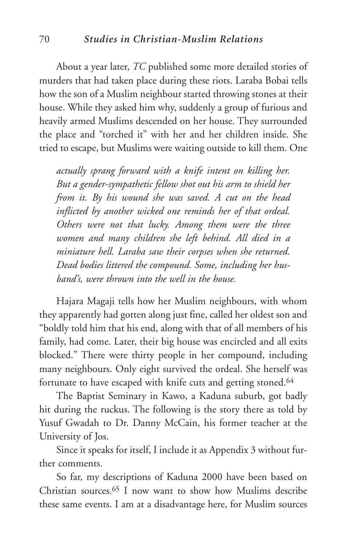### 70 *Studies in Christian-Muslim Relations*

About a year later, *TC* published some more detailed stories of murders that had taken place during these riots. Laraba Bobai tells how the son of a Muslim neighbour started throwing stones at their house. While they asked him why, suddenly a group of furious and heavily armed Muslims descended on her house. They surrounded the place and "torched it" with her and her children inside. She tried to escape, but Muslims were waiting outside to kill them. One

*actually sprang forward with a knife intent on killing her. But a gender-sympathetic fellow shot out his arm to shield her from it. By his wound she was saved. A cut on the head inflicted by another wicked one reminds her of that ordeal. Others were not that lucky. Among them were the three women and many children she left behind. All died in a miniature hell. Laraba saw their corpses when she returned. Dead bodies littered the compound. Some, including her husband's, were thrown into the well in the house.*

Hajara Magaji tells how her Muslim neighbours, with whom they apparently had gotten along just fine, called her oldest son and "boldly told him that his end, along with that of all members of his family, had come. Later, their big house was encircled and all exits blocked." There were thirty people in her compound, including many neighbours. Only eight survived the ordeal. She herself was fortunate to have escaped with knife cuts and getting stoned.<sup>64</sup>

The Baptist Seminary in Kawo, a Kaduna suburb, got badly hit during the ruckus. The following is the story there as told by Yusuf Gwadah to Dr. Danny McCain, his former teacher at the University of Jos.

Since it speaks for itself, I include it as Appendix 3 without further comments.

So far, my descriptions of Kaduna 2000 have been based on Christian sources.65 I now want to show how Muslims describe these same events. I am at a disadvantage here, for Muslim sources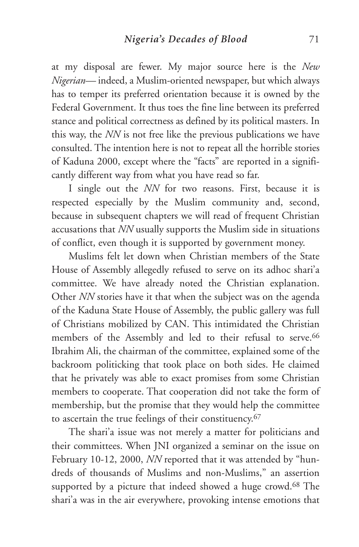at my disposal are fewer. My major source here is the *New Nigerian—* indeed, a Muslim-oriented newspaper, but which always has to temper its preferred orientation because it is owned by the Federal Government. It thus toes the fine line between its preferred stance and political correctness as defined by its political masters. In this way, the *NN* is not free like the previous publications we have consulted. The intention here is not to repeat all the horrible stories of Kaduna 2000, except where the "facts" are reported in a significantly different way from what you have read so far.

I single out the *NN* for two reasons. First, because it is respected especially by the Muslim community and, second, because in subsequent chapters we will read of frequent Christian accusations that *NN* usually supports the Muslim side in situations of conflict, even though it is supported by government money.

Muslims felt let down when Christian members of the State House of Assembly allegedly refused to serve on its adhoc shari'a committee. We have already noted the Christian explanation. Other *NN* stories have it that when the subject was on the agenda of the Kaduna State House of Assembly, the public gallery was full of Christians mobilized by CAN. This intimidated the Christian members of the Assembly and led to their refusal to serve.<sup>66</sup> Ibrahim Ali, the chairman of the committee, explained some of the backroom politicking that took place on both sides. He claimed that he privately was able to exact promises from some Christian members to cooperate. That cooperation did not take the form of membership, but the promise that they would help the committee to ascertain the true feelings of their constituency.67

The shari'a issue was not merely a matter for politicians and their committees. When JNI organized a seminar on the issue on February 10-12, 2000, *NN* reported that it was attended by "hundreds of thousands of Muslims and non-Muslims," an assertion supported by a picture that indeed showed a huge crowd.<sup>68</sup> The shari'a was in the air everywhere, provoking intense emotions that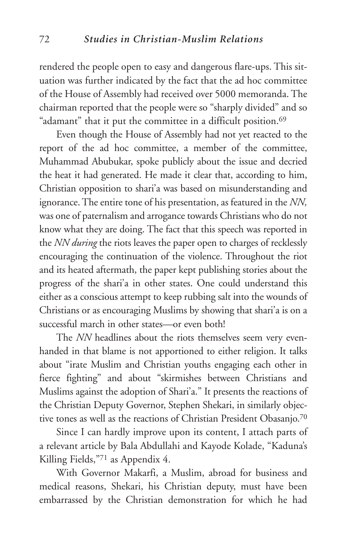rendered the people open to easy and dangerous flare-ups. This situation was further indicated by the fact that the ad hoc committee of the House of Assembly had received over 5000 memoranda. The chairman reported that the people were so "sharply divided" and so "adamant" that it put the committee in a difficult position.<sup>69</sup>

Even though the House of Assembly had not yet reacted to the report of the ad hoc committee, a member of the committee, Muhammad Abubukar, spoke publicly about the issue and decried the heat it had generated. He made it clear that, according to him, Christian opposition to shari'a was based on misunderstanding and ignorance. The entire tone of his presentation, as featured in the *NN,* was one of paternalism and arrogance towards Christians who do not know what they are doing. The fact that this speech was reported in the *NN during* the riots leaves the paper open to charges of recklessly encouraging the continuation of the violence. Throughout the riot and its heated aftermath, the paper kept publishing stories about the progress of the shari'a in other states. One could understand this either as a conscious attempt to keep rubbing salt into the wounds of Christians or as encouraging Muslims by showing that shari'a is on a successful march in other states—or even both!

The *NN* headlines about the riots themselves seem very evenhanded in that blame is not apportioned to either religion. It talks about "irate Muslim and Christian youths engaging each other in fierce fighting" and about "skirmishes between Christians and Muslims against the adoption of Shari'a." It presents the reactions of the Christian Deputy Governor, Stephen Shekari, in similarly objective tones as well as the reactions of Christian President Obasanjo.70

Since I can hardly improve upon its content, I attach parts of a relevant article by Bala Abdullahi and Kayode Kolade, "Kaduna's Killing Fields,"71 as Appendix 4.

With Governor Makarfi, a Muslim, abroad for business and medical reasons, Shekari, his Christian deputy, must have been embarrassed by the Christian demonstration for which he had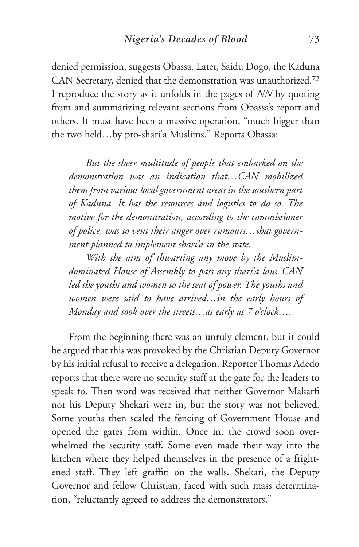denied permission, suggests Obassa. Later, Saidu Dogo, the Kaduna CAN Secretary, denied that the demonstration was unauthorized.72 I reproduce the story as it unfolds in the pages of *NN* by quoting from and summarizing relevant sections from Obassa's report and others. It must have been a massive operation, "much bigger than the two held…by pro-shari'a Muslims." Reports Obassa:

*But the sheer multitude of people that embarked on the demonstration was an indication that…CAN mobilized them from various local government areas in the southern part of Kaduna. It has the resources and logistics to do so. The motive for the demonstration, according to the commissioner of police, was to vent their anger over rumours…that government planned to implement shari'a in the state.*

*With the aim of thwarting any move by the Muslimdominated House of Assembly to pass any shari'a law, CAN led the youths and women to the seat of power. The youths and women were said to have arrived…in the early hours of Monday and took over the streets…as early as 7 o'clock….*

From the beginning there was an unruly element, but it could be argued that this was provoked by the Christian Deputy Governor by his initial refusal to receive a delegation. Reporter Thomas Adedo reports that there were no security staff at the gate for the leaders to speak to. Then word was received that neither Governor Makarfi nor his Deputy Shekari were in, but the story was not believed. Some youths then scaled the fencing of Government House and opened the gates from within. Once in, the crowd soon overwhelmed the security staff. Some even made their way into the kitchen where they helped themselves in the presence of a frightened staff. They left graffiti on the walls. Shekari, the Deputy Governor and fellow Christian, faced with such mass determination, "reluctantly agreed to address the demonstrators."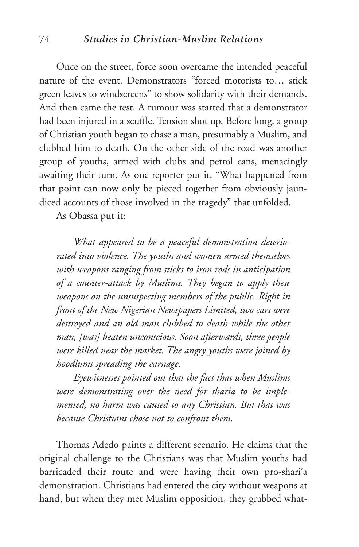#### 74 *Studies in Christian-Muslim Relations*

Once on the street, force soon overcame the intended peaceful nature of the event. Demonstrators "forced motorists to… stick green leaves to windscreens" to show solidarity with their demands. And then came the test. A rumour was started that a demonstrator had been injured in a scuffle. Tension shot up. Before long, a group of Christian youth began to chase a man, presumably a Muslim, and clubbed him to death. On the other side of the road was another group of youths, armed with clubs and petrol cans, menacingly awaiting their turn. As one reporter put it, "What happened from that point can now only be pieced together from obviously jaundiced accounts of those involved in the tragedy" that unfolded.

As Obassa put it:

*What appeared to be a peaceful demonstration deteriorated into violence. The youths and women armed themselves with weapons ranging from sticks to iron rods in anticipation of a counter-attack by Muslims. They began to apply these weapons on the unsuspecting members of the public. Right in front of the New Nigerian Newspapers Limited, two cars were destroyed and an old man clubbed to death while the other man, [was] beaten unconscious. Soon afterwards, three people were killed near the market. The angry youths were joined by hoodlums spreading the carnage.*

*Eyewitnesses pointed out that the fact that when Muslims were demonstrating over the need for sharia to be implemented, no harm was caused to any Christian. But that was because Christians chose not to confront them.*

Thomas Adedo paints a different scenario. He claims that the original challenge to the Christians was that Muslim youths had barricaded their route and were having their own pro-shari'a demonstration. Christians had entered the city without weapons at hand, but when they met Muslim opposition, they grabbed what-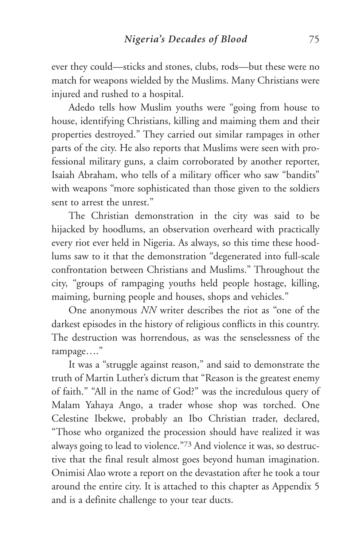ever they could—sticks and stones, clubs, rods—but these were no match for weapons wielded by the Muslims. Many Christians were injured and rushed to a hospital.

Adedo tells how Muslim youths were "going from house to house, identifying Christians, killing and maiming them and their properties destroyed." They carried out similar rampages in other parts of the city. He also reports that Muslims were seen with professional military guns, a claim corroborated by another reporter, Isaiah Abraham, who tells of a military officer who saw "bandits" with weapons "more sophisticated than those given to the soldiers sent to arrest the unrest."

The Christian demonstration in the city was said to be hijacked by hoodlums, an observation overheard with practically every riot ever held in Nigeria. As always, so this time these hoodlums saw to it that the demonstration "degenerated into full-scale confrontation between Christians and Muslims." Throughout the city, "groups of rampaging youths held people hostage, killing, maiming, burning people and houses, shops and vehicles."

One anonymous *NN* writer describes the riot as "one of the darkest episodes in the history of religious conflicts in this country. The destruction was horrendous, as was the senselessness of the rampage…."

It was a "struggle against reason," and said to demonstrate the truth of Martin Luther's dictum that "Reason is the greatest enemy of faith." "All in the name of God?" was the incredulous query of Malam Yahaya Ango, a trader whose shop was torched. One Celestine Ibekwe, probably an Ibo Christian trader, declared, "Those who organized the procession should have realized it was always going to lead to violence."73 And violence it was, so destructive that the final result almost goes beyond human imagination. Onimisi Alao wrote a report on the devastation after he took a tour around the entire city. It is attached to this chapter as Appendix 5 and is a definite challenge to your tear ducts.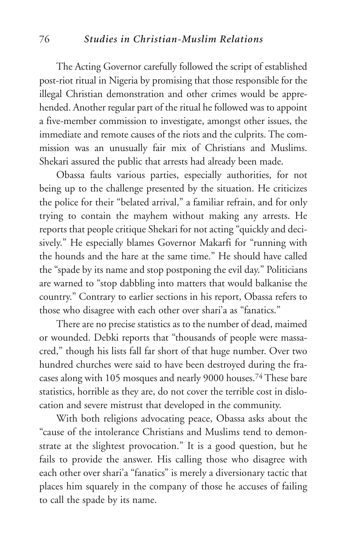The Acting Governor carefully followed the script of established post-riot ritual in Nigeria by promising that those responsible for the illegal Christian demonstration and other crimes would be apprehended. Another regular part of the ritual he followed was to appoint a five-member commission to investigate, amongst other issues, the immediate and remote causes of the riots and the culprits. The commission was an unusually fair mix of Christians and Muslims. Shekari assured the public that arrests had already been made.

Obassa faults various parties, especially authorities, for not being up to the challenge presented by the situation. He criticizes the police for their "belated arrival," a familiar refrain, and for only trying to contain the mayhem without making any arrests. He reports that people critique Shekari for not acting "quickly and decisively." He especially blames Governor Makarfi for "running with the hounds and the hare at the same time." He should have called the "spade by its name and stop postponing the evil day." Politicians are warned to "stop dabbling into matters that would balkanise the country." Contrary to earlier sections in his report, Obassa refers to those who disagree with each other over shari'a as "fanatics."

There are no precise statistics as to the number of dead, maimed or wounded. Debki reports that "thousands of people were massacred," though his lists fall far short of that huge number. Over two hundred churches were said to have been destroyed during the fracases along with 105 mosques and nearly 9000 houses.74 These bare statistics, horrible as they are, do not cover the terrible cost in dislocation and severe mistrust that developed in the community.

With both religions advocating peace, Obassa asks about the "cause of the intolerance Christians and Muslims tend to demonstrate at the slightest provocation." It is a good question, but he fails to provide the answer. His calling those who disagree with each other over shari'a "fanatics" is merely a diversionary tactic that places him squarely in the company of those he accuses of failing to call the spade by its name.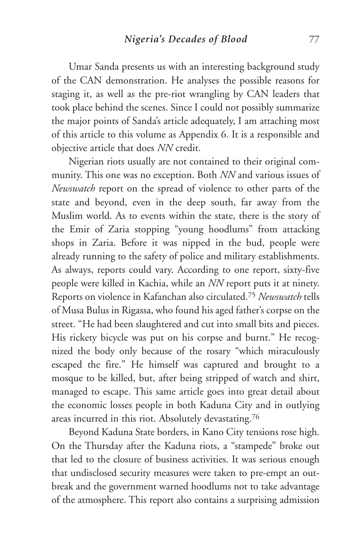Umar Sanda presents us with an interesting background study of the CAN demonstration. He analyses the possible reasons for staging it, as well as the pre-riot wrangling by CAN leaders that took place behind the scenes. Since I could not possibly summarize the major points of Sanda's article adequately, I am attaching most of this article to this volume as Appendix 6. It is a responsible and objective article that does *NN* credit.

Nigerian riots usually are not contained to their original community. This one was no exception. Both *NN* and various issues of *Newswatch* report on the spread of violence to other parts of the state and beyond, even in the deep south, far away from the Muslim world. As to events within the state, there is the story of the Emir of Zaria stopping "young hoodlums" from attacking shops in Zaria. Before it was nipped in the bud, people were already running to the safety of police and military establishments. As always, reports could vary. According to one report, sixty-five people were killed in Kachia, while an *NN* report puts it at ninety. Reports on violence in Kafanchan also circulated.75 *Newswatch* tells of Musa Bulus in Rigassa, who found his aged father's corpse on the street. "He had been slaughtered and cut into small bits and pieces. His rickety bicycle was put on his corpse and burnt." He recognized the body only because of the rosary "which miraculously escaped the fire." He himself was captured and brought to a mosque to be killed, but, after being stripped of watch and shirt, managed to escape. This same article goes into great detail about the economic losses people in both Kaduna City and in outlying areas incurred in this riot. Absolutely devastating.76

Beyond Kaduna State borders, in Kano City tensions rose high. On the Thursday after the Kaduna riots, a "stampede" broke out that led to the closure of business activities. It was serious enough that undisclosed security measures were taken to pre-empt an outbreak and the government warned hoodlums not to take advantage of the atmosphere. This report also contains a surprising admission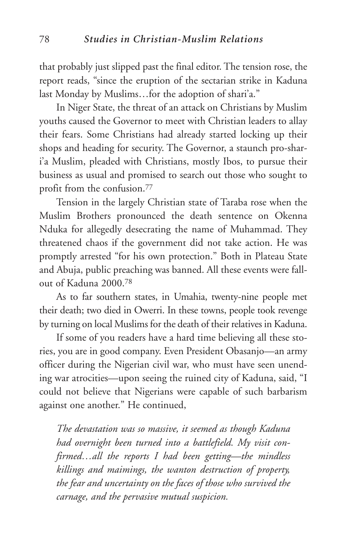that probably just slipped past the final editor. The tension rose, the report reads, "since the eruption of the sectarian strike in Kaduna last Monday by Muslims…for the adoption of shari'a."

In Niger State, the threat of an attack on Christians by Muslim youths caused the Governor to meet with Christian leaders to allay their fears. Some Christians had already started locking up their shops and heading for security. The Governor, a staunch pro-shari'a Muslim, pleaded with Christians, mostly Ibos, to pursue their business as usual and promised to search out those who sought to profit from the confusion.77

Tension in the largely Christian state of Taraba rose when the Muslim Brothers pronounced the death sentence on Okenna Nduka for allegedly desecrating the name of Muhammad. They threatened chaos if the government did not take action. He was promptly arrested "for his own protection." Both in Plateau State and Abuja, public preaching was banned. All these events were fallout of Kaduna 2000.78

As to far southern states, in Umahia, twenty-nine people met their death; two died in Owerri. In these towns, people took revenge by turning on local Muslims for the death of their relatives in Kaduna.

If some of you readers have a hard time believing all these stories, you are in good company. Even President Obasanjo—an army officer during the Nigerian civil war, who must have seen unending war atrocities—upon seeing the ruined city of Kaduna, said, "I could not believe that Nigerians were capable of such barbarism against one another." He continued,

*The devastation was so massive, it seemed as though Kaduna had overnight been turned into a battlefield. My visit confirmed…all the reports I had been getting—the mindless killings and maimings, the wanton destruction of property, the fear and uncertainty on the faces of those who survived the carnage, and the pervasive mutual suspicion.*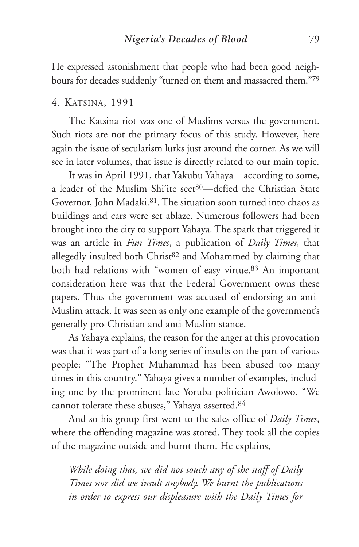He expressed astonishment that people who had been good neighbours for decades suddenly "turned on them and massacred them."79

#### 4. KATSINA, 1991

The Katsina riot was one of Muslims versus the government. Such riots are not the primary focus of this study. However, here again the issue of secularism lurks just around the corner. As we will see in later volumes, that issue is directly related to our main topic.

It was in April 1991, that Yakubu Yahaya—according to some, a leader of the Muslim Shi'ite sect<sup>80</sup>—defied the Christian State Governor, John Madaki.81. The situation soon turned into chaos as buildings and cars were set ablaze. Numerous followers had been brought into the city to support Yahaya. The spark that triggered it was an article in *Fun Times*, a publication of *Daily Times*, that allegedly insulted both Christ<sup>82</sup> and Mohammed by claiming that both had relations with "women of easy virtue.<sup>83</sup> An important consideration here was that the Federal Government owns these papers. Thus the government was accused of endorsing an anti-Muslim attack. It was seen as only one example of the government's generally pro-Christian and anti-Muslim stance.

As Yahaya explains, the reason for the anger at this provocation was that it was part of a long series of insults on the part of various people: "The Prophet Muhammad has been abused too many times in this country." Yahaya gives a number of examples, including one by the prominent late Yoruba politician Awolowo. "We cannot tolerate these abuses," Yahaya asserted.84

And so his group first went to the sales office of *Daily Times*, where the offending magazine was stored. They took all the copies of the magazine outside and burnt them. He explains,

*While doing that, we did not touch any of the staff of Daily Times nor did we insult anybody. We burnt the publications in order to express our displeasure with the Daily Times for*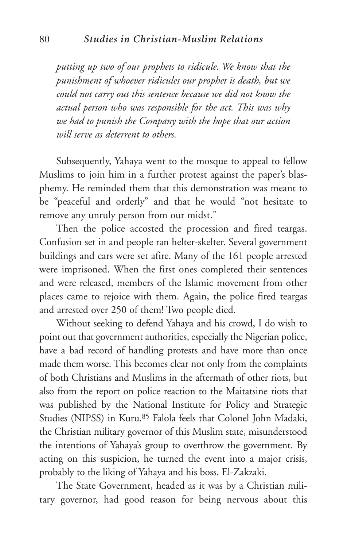*putting up two of our prophets to ridicule. We know that the punishment of whoever ridicules our prophet is death, but we could not carry out this sentence because we did not know the actual person who was responsible for the act. This was why we had to punish the Company with the hope that our action will serve as deterrent to others.*

Subsequently, Yahaya went to the mosque to appeal to fellow Muslims to join him in a further protest against the paper's blasphemy. He reminded them that this demonstration was meant to be "peaceful and orderly" and that he would "not hesitate to remove any unruly person from our midst."

Then the police accosted the procession and fired teargas. Confusion set in and people ran helter-skelter. Several government buildings and cars were set afire. Many of the 161 people arrested were imprisoned. When the first ones completed their sentences and were released, members of the Islamic movement from other places came to rejoice with them. Again, the police fired teargas and arrested over 250 of them! Two people died.

Without seeking to defend Yahaya and his crowd, I do wish to point out that government authorities, especially the Nigerian police, have a bad record of handling protests and have more than once made them worse. This becomes clear not only from the complaints of both Christians and Muslims in the aftermath of other riots, but also from the report on police reaction to the Maitatsine riots that was published by the National Institute for Policy and Strategic Studies (NIPSS) in Kuru.<sup>85</sup> Falola feels that Colonel John Madaki, the Christian military governor of this Muslim state, misunderstood the intentions of Yahaya's group to overthrow the government. By acting on this suspicion, he turned the event into a major crisis, probably to the liking of Yahaya and his boss, El-Zakzaki.

The State Government, headed as it was by a Christian military governor, had good reason for being nervous about this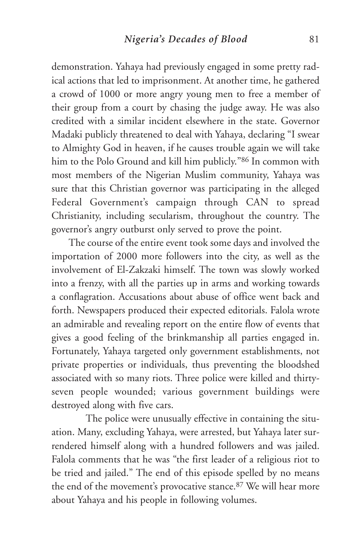demonstration. Yahaya had previously engaged in some pretty radical actions that led to imprisonment. At another time, he gathered a crowd of 1000 or more angry young men to free a member of their group from a court by chasing the judge away. He was also credited with a similar incident elsewhere in the state. Governor Madaki publicly threatened to deal with Yahaya, declaring "I swear to Almighty God in heaven, if he causes trouble again we will take him to the Polo Ground and kill him publicly."86 In common with most members of the Nigerian Muslim community, Yahaya was sure that this Christian governor was participating in the alleged Federal Government's campaign through CAN to spread Christianity, including secularism, throughout the country. The governor's angry outburst only served to prove the point.

The course of the entire event took some days and involved the importation of 2000 more followers into the city, as well as the involvement of El-Zakzaki himself. The town was slowly worked into a frenzy, with all the parties up in arms and working towards a conflagration. Accusations about abuse of office went back and forth. Newspapers produced their expected editorials. Falola wrote an admirable and revealing report on the entire flow of events that gives a good feeling of the brinkmanship all parties engaged in. Fortunately, Yahaya targeted only government establishments, not private properties or individuals, thus preventing the bloodshed associated with so many riots. Three police were killed and thirtyseven people wounded; various government buildings were destroyed along with five cars.

The police were unusually effective in containing the situation. Many, excluding Yahaya, were arrested, but Yahaya later surrendered himself along with a hundred followers and was jailed. Falola comments that he was "the first leader of a religious riot to be tried and jailed." The end of this episode spelled by no means the end of the movement's provocative stance.87 We will hear more about Yahaya and his people in following volumes.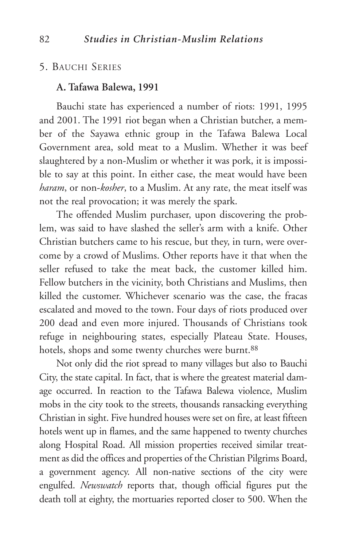# 5. BAUCHI SERIES

# **A. Tafawa Balewa, 1991**

Bauchi state has experienced a number of riots: 1991, 1995 and 2001. The 1991 riot began when a Christian butcher, a member of the Sayawa ethnic group in the Tafawa Balewa Local Government area, sold meat to a Muslim. Whether it was beef slaughtered by a non-Muslim or whether it was pork, it is impossible to say at this point. In either case, the meat would have been *haram*, or non-*kosher*, to a Muslim. At any rate, the meat itself was not the real provocation; it was merely the spark.

The offended Muslim purchaser, upon discovering the problem, was said to have slashed the seller's arm with a knife. Other Christian butchers came to his rescue, but they, in turn, were overcome by a crowd of Muslims. Other reports have it that when the seller refused to take the meat back, the customer killed him. Fellow butchers in the vicinity, both Christians and Muslims, then killed the customer. Whichever scenario was the case, the fracas escalated and moved to the town. Four days of riots produced over 200 dead and even more injured. Thousands of Christians took refuge in neighbouring states, especially Plateau State. Houses, hotels, shops and some twenty churches were burnt.<sup>88</sup>

Not only did the riot spread to many villages but also to Bauchi City, the state capital. In fact, that is where the greatest material damage occurred. In reaction to the Tafawa Balewa violence, Muslim mobs in the city took to the streets, thousands ransacking everything Christian in sight. Five hundred houses were set on fire, at least fifteen hotels went up in flames, and the same happened to twenty churches along Hospital Road. All mission properties received similar treatment as did the offices and properties of the Christian Pilgrims Board, a government agency. All non-native sections of the city were engulfed. *Newswatch* reports that, though official figures put the death toll at eighty, the mortuaries reported closer to 500. When the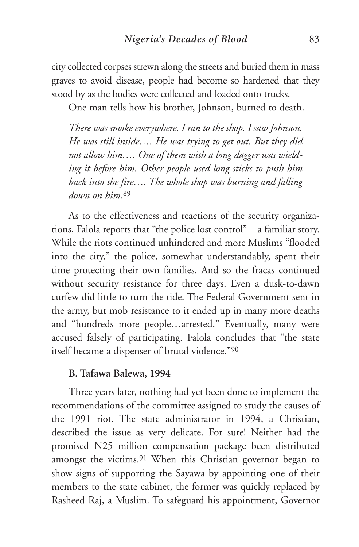city collected corpses strewn along the streets and buried them in mass graves to avoid disease, people had become so hardened that they stood by as the bodies were collected and loaded onto trucks.

One man tells how his brother, Johnson, burned to death.

*There was smoke everywhere. I ran to the shop. I saw Johnson. He was still inside…. He was trying to get out. But they did not allow him…. One of them with a long dagger was wielding it before him. Other people used long sticks to push him back into the fire…. The whole shop was burning and falling down on him.*<sup>89</sup>

As to the effectiveness and reactions of the security organizations, Falola reports that "the police lost control"—a familiar story. While the riots continued unhindered and more Muslims "flooded into the city," the police, somewhat understandably, spent their time protecting their own families. And so the fracas continued without security resistance for three days. Even a dusk-to-dawn curfew did little to turn the tide. The Federal Government sent in the army, but mob resistance to it ended up in many more deaths and "hundreds more people…arrested." Eventually, many were accused falsely of participating. Falola concludes that "the state itself became a dispenser of brutal violence."90

#### **B. Tafawa Balewa, 1994**

Three years later, nothing had yet been done to implement the recommendations of the committee assigned to study the causes of the 1991 riot. The state administrator in 1994, a Christian, described the issue as very delicate. For sure! Neither had the promised N25 million compensation package been distributed amongst the victims.<sup>91</sup> When this Christian governor began to show signs of supporting the Sayawa by appointing one of their members to the state cabinet, the former was quickly replaced by Rasheed Raj, a Muslim. To safeguard his appointment, Governor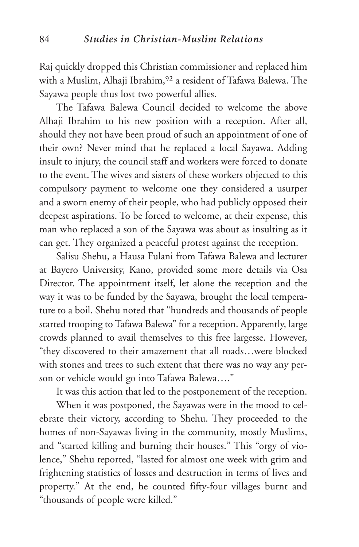Raj quickly dropped this Christian commissioner and replaced him with a Muslim, Alhaji Ibrahim, 92 a resident of Tafawa Balewa. The Sayawa people thus lost two powerful allies.

The Tafawa Balewa Council decided to welcome the above Alhaji Ibrahim to his new position with a reception. After all, should they not have been proud of such an appointment of one of their own? Never mind that he replaced a local Sayawa. Adding insult to injury, the council staff and workers were forced to donate to the event. The wives and sisters of these workers objected to this compulsory payment to welcome one they considered a usurper and a sworn enemy of their people, who had publicly opposed their deepest aspirations. To be forced to welcome, at their expense, this man who replaced a son of the Sayawa was about as insulting as it can get. They organized a peaceful protest against the reception.

Salisu Shehu, a Hausa Fulani from Tafawa Balewa and lecturer at Bayero University, Kano, provided some more details via Osa Director. The appointment itself, let alone the reception and the way it was to be funded by the Sayawa, brought the local temperature to a boil. Shehu noted that "hundreds and thousands of people started trooping to Tafawa Balewa" for a reception. Apparently, large crowds planned to avail themselves to this free largesse. However, "they discovered to their amazement that all roads…were blocked with stones and trees to such extent that there was no way any person or vehicle would go into Tafawa Balewa…."

It was this action that led to the postponement of the reception.

When it was postponed, the Sayawas were in the mood to celebrate their victory, according to Shehu. They proceeded to the homes of non-Sayawas living in the community, mostly Muslims, and "started killing and burning their houses." This "orgy of violence," Shehu reported, "lasted for almost one week with grim and frightening statistics of losses and destruction in terms of lives and property." At the end, he counted fifty-four villages burnt and "thousands of people were killed."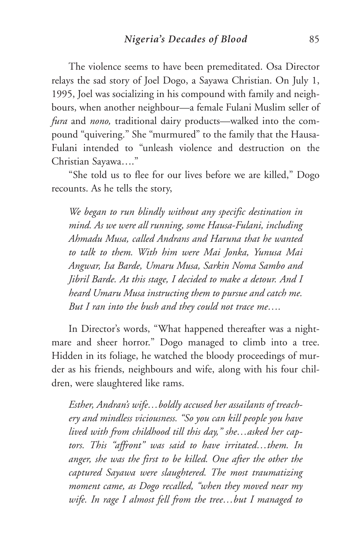The violence seems to have been premeditated. Osa Director relays the sad story of Joel Dogo, a Sayawa Christian. On July 1, 1995, Joel was socializing in his compound with family and neighbours, when another neighbour—a female Fulani Muslim seller of *fura* and *nono,* traditional dairy products—walked into the compound "quivering." She "murmured" to the family that the Hausa-Fulani intended to "unleash violence and destruction on the Christian Sayawa…."

"She told us to flee for our lives before we are killed," Dogo recounts. As he tells the story,

*We began to run blindly without any specific destination in mind. As we were all running, some Hausa-Fulani, including Ahmadu Musa, called Andrans and Haruna that he wanted to talk to them. With him were Mai Jonka, Yunusa Mai Angwar, Isa Barde, Umaru Musa, Sarkin Noma Sambo and Jibril Barde. At this stage, I decided to make a detour. And I heard Umaru Musa instructing them to pursue and catch me. But I ran into the bush and they could not trace me….*

In Director's words, "What happened thereafter was a nightmare and sheer horror." Dogo managed to climb into a tree. Hidden in its foliage, he watched the bloody proceedings of murder as his friends, neighbours and wife, along with his four children, were slaughtered like rams.

*Esther, Andran's wife…boldly accused her assailants of treachery and mindless viciousness. "So you can kill people you have lived with from childhood till this day," she…asked her captors. This "affront" was said to have irritated…them. In anger, she was the first to be killed. One after the other the captured Sayawa were slaughtered. The most traumatizing moment came, as Dogo recalled, "when they moved near my wife. In rage I almost fell from the tree…but I managed to*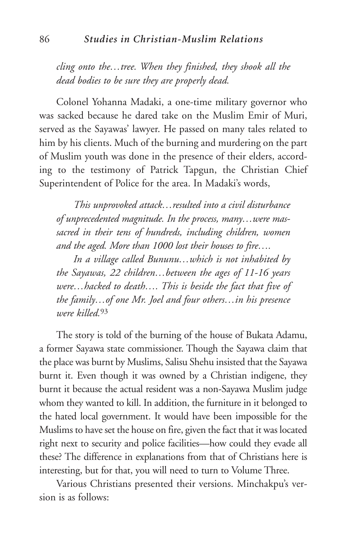*cling onto the…tree. When they finished, they shook all the dead bodies to be sure they are properly dead.*

Colonel Yohanna Madaki, a one-time military governor who was sacked because he dared take on the Muslim Emir of Muri, served as the Sayawas' lawyer. He passed on many tales related to him by his clients. Much of the burning and murdering on the part of Muslim youth was done in the presence of their elders, according to the testimony of Patrick Tapgun, the Christian Chief Superintendent of Police for the area. In Madaki's words,

*This unprovoked attack…resulted into a civil disturbance of unprecedented magnitude. In the process, many…were massacred in their tens of hundreds, including children, women and the aged. More than 1000 lost their houses to fire….*

*In a village called Bununu…which is not inhabited by the Sayawas, 22 children…between the ages of 11-16 years were…hacked to death…. This is beside the fact that five of the family…of one Mr. Joel and four others…in his presence were killed.*<sup>93</sup>

The story is told of the burning of the house of Bukata Adamu, a former Sayawa state commissioner. Though the Sayawa claim that the place was burnt by Muslims, Salisu Shehu insisted that the Sayawa burnt it. Even though it was owned by a Christian indigene, they burnt it because the actual resident was a non-Sayawa Muslim judge whom they wanted to kill. In addition, the furniture in it belonged to the hated local government. It would have been impossible for the Muslims to have set the house on fire, given the fact that it was located right next to security and police facilities—how could they evade all these? The difference in explanations from that of Christians here is interesting, but for that, you will need to turn to Volume Three.

Various Christians presented their versions. Minchakpu's version is as follows: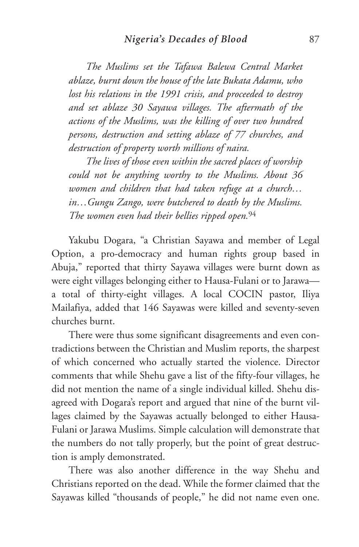*The Muslims set the Tafawa Balewa Central Market ablaze, burnt down the house of the late Bukata Adamu, who lost his relations in the 1991 crisis, and proceeded to destroy and set ablaze 30 Sayawa villages. The aftermath of the actions of the Muslims, was the killing of over two hundred persons, destruction and setting ablaze of 77 churches, and destruction of property worth millions of naira.*

*The lives of those even within the sacred places of worship could not be anything worthy to the Muslims. About 36 women and children that had taken refuge at a church… in…Gungu Zango, were butchered to death by the Muslims. The women even had their bellies ripped open.*<sup>94</sup>

Yakubu Dogara, "a Christian Sayawa and member of Legal Option, a pro-democracy and human rights group based in Abuja," reported that thirty Sayawa villages were burnt down as were eight villages belonging either to Hausa-Fulani or to Jarawa a total of thirty-eight villages. A local COCIN pastor, Iliya Mailafiya, added that 146 Sayawas were killed and seventy-seven churches burnt.

There were thus some significant disagreements and even contradictions between the Christian and Muslim reports, the sharpest of which concerned who actually started the violence. Director comments that while Shehu gave a list of the fifty-four villages, he did not mention the name of a single individual killed. Shehu disagreed with Dogara's report and argued that nine of the burnt villages claimed by the Sayawas actually belonged to either Hausa-Fulani or Jarawa Muslims. Simple calculation will demonstrate that the numbers do not tally properly, but the point of great destruction is amply demonstrated.

There was also another difference in the way Shehu and Christians reported on the dead. While the former claimed that the Sayawas killed "thousands of people," he did not name even one.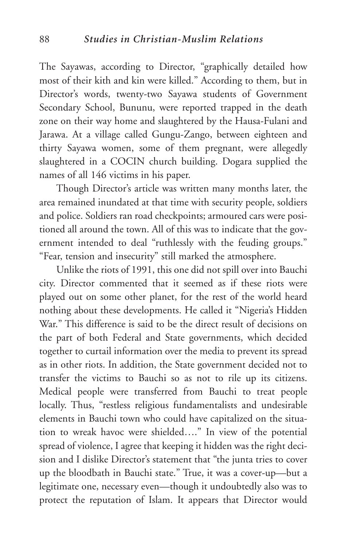The Sayawas, according to Director, "graphically detailed how most of their kith and kin were killed." According to them, but in Director's words, twenty-two Sayawa students of Government Secondary School, Bununu, were reported trapped in the death zone on their way home and slaughtered by the Hausa-Fulani and Jarawa. At a village called Gungu-Zango, between eighteen and thirty Sayawa women, some of them pregnant, were allegedly slaughtered in a COCIN church building. Dogara supplied the names of all 146 victims in his paper.

Though Director's article was written many months later, the area remained inundated at that time with security people, soldiers and police. Soldiers ran road checkpoints; armoured cars were positioned all around the town. All of this was to indicate that the government intended to deal "ruthlessly with the feuding groups." "Fear, tension and insecurity" still marked the atmosphere.

Unlike the riots of 1991, this one did not spill over into Bauchi city. Director commented that it seemed as if these riots were played out on some other planet, for the rest of the world heard nothing about these developments. He called it "Nigeria's Hidden War." This difference is said to be the direct result of decisions on the part of both Federal and State governments, which decided together to curtail information over the media to prevent its spread as in other riots. In addition, the State government decided not to transfer the victims to Bauchi so as not to rile up its citizens. Medical people were transferred from Bauchi to treat people locally. Thus, "restless religious fundamentalists and undesirable elements in Bauchi town who could have capitalized on the situation to wreak havoc were shielded…." In view of the potential spread of violence, I agree that keeping it hidden was the right decision and I dislike Director's statement that "the junta tries to cover up the bloodbath in Bauchi state." True, it was a cover-up—but a legitimate one, necessary even—though it undoubtedly also was to protect the reputation of Islam. It appears that Director would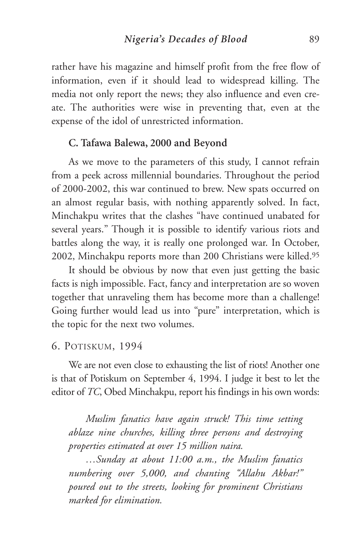rather have his magazine and himself profit from the free flow of information, even if it should lead to widespread killing. The media not only report the news; they also influence and even create. The authorities were wise in preventing that, even at the expense of the idol of unrestricted information.

# **C. Tafawa Balewa, 2000 and Beyond**

As we move to the parameters of this study, I cannot refrain from a peek across millennial boundaries. Throughout the period of 2000-2002, this war continued to brew. New spats occurred on an almost regular basis, with nothing apparently solved. In fact, Minchakpu writes that the clashes "have continued unabated for several years." Though it is possible to identify various riots and battles along the way, it is really one prolonged war. In October, 2002, Minchakpu reports more than 200 Christians were killed.95

It should be obvious by now that even just getting the basic facts is nigh impossible. Fact, fancy and interpretation are so woven together that unraveling them has become more than a challenge! Going further would lead us into "pure" interpretation, which is the topic for the next two volumes.

### 6. POTISKUM, 1994

We are not even close to exhausting the list of riots! Another one is that of Potiskum on September 4, 1994. I judge it best to let the editor of *TC*, Obed Minchakpu, report his findings in his own words:

*Muslim fanatics have again struck! This time setting ablaze nine churches, killing three persons and destroying properties estimated at over 15 million naira.*

*…Sunday at about 11:00 a.m., the Muslim fanatics numbering over 5,000, and chanting "Allahu Akbar!" poured out to the streets, looking for prominent Christians marked for elimination.*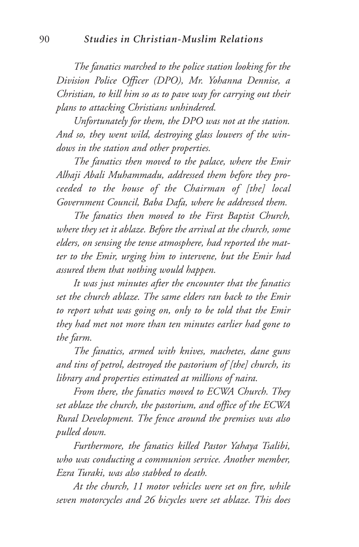*The fanatics marched to the police station looking for the Division Police Officer (DPO), Mr. Yohanna Dennise, a Christian, to kill him so as to pave way for carrying out their plans to attacking Christians unhindered.*

*Unfortunately for them, the DPO was not at the station. And so, they went wild, destroying glass louvers of the windows in the station and other properties.*

*The fanatics then moved to the palace, where the Emir Alhaji Abali Muhammadu, addressed them before they proceeded to the house of the Chairman of [the] local Government Council, Baba Dafa, where he addressed them.*

*The fanatics then moved to the First Baptist Church, where they set it ablaze. Before the arrival at the church, some elders, on sensing the tense atmosphere, had reported the matter to the Emir, urging him to intervene, but the Emir had assured them that nothing would happen.*

*It was just minutes after the encounter that the fanatics set the church ablaze. The same elders ran back to the Emir to report what was going on, only to be told that the Emir they had met not more than ten minutes earlier had gone to the farm.*

*The fanatics, armed with knives, machetes, dane guns and tins of petrol, destroyed the pastorium of [the] church, its library and properties estimated at millions of naira.*

*From there, the fanatics moved to ECWA Church. They set ablaze the church, the pastorium, and office of the ECWA Rural Development. The fence around the premises was also pulled down.*

*Furthermore, the fanatics killed Pastor Yahaya Tsalibi, who was conducting a communion service. Another member, Ezra Turaki, was also stabbed to death.*

*At the church, 11 motor vehicles were set on fire, while seven motorcycles and 26 bicycles were set ablaze. This does*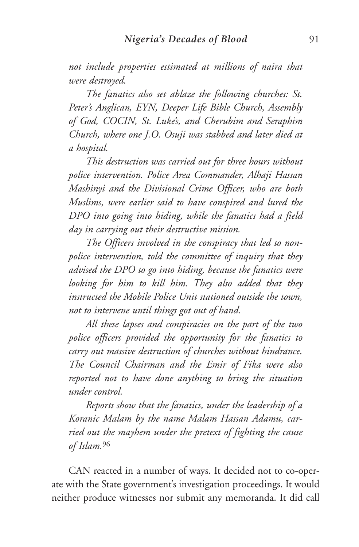*not include properties estimated at millions of naira that were destroyed.*

*The fanatics also set ablaze the following churches: St. Peter's Anglican, EYN, Deeper Life Bible Church, Assembly of God, COCIN, St. Luke's, and Cherubim and Seraphim Church, where one J.O. Osuji was stabbed and later died at a hospital.*

*This destruction was carried out for three hours without police intervention. Police Area Commander, Alhaji Hassan Mashinyi and the Divisional Crime Officer, who are both Muslims, were earlier said to have conspired and lured the DPO into going into hiding, while the fanatics had a field day in carrying out their destructive mission.*

*The Officers involved in the conspiracy that led to nonpolice intervention, told the committee of inquiry that they advised the DPO to go into hiding, because the fanatics were looking for him to kill him. They also added that they instructed the Mobile Police Unit stationed outside the town, not to intervene until things got out of hand.*

*All these lapses and conspiracies on the part of the two police officers provided the opportunity for the fanatics to carry out massive destruction of churches without hindrance. The Council Chairman and the Emir of Fika were also reported not to have done anything to bring the situation under control.*

*Reports show that the fanatics, under the leadership of a Koranic Malam by the name Malam Hassan Adamu, carried out the mayhem under the pretext of fighting the cause of Islam.*<sup>96</sup>

CAN reacted in a number of ways. It decided not to co-operate with the State government's investigation proceedings. It would neither produce witnesses nor submit any memoranda. It did call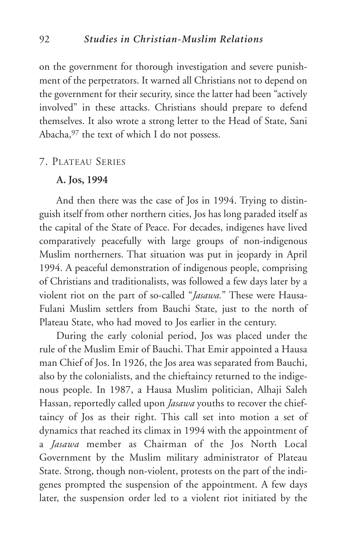on the government for thorough investigation and severe punishment of the perpetrators. It warned all Christians not to depend on the government for their security, since the latter had been "actively involved" in these attacks. Christians should prepare to defend themselves. It also wrote a strong letter to the Head of State, Sani Abacha,97 the text of which I do not possess.

# 7. PLATEAU SERIES

#### **A. Jos, 1994**

And then there was the case of Jos in 1994. Trying to distinguish itself from other northern cities, Jos has long paraded itself as the capital of the State of Peace. For decades, indigenes have lived comparatively peacefully with large groups of non-indigenous Muslim northerners. That situation was put in jeopardy in April 1994. A peaceful demonstration of indigenous people, comprising of Christians and traditionalists, was followed a few days later by a violent riot on the part of so-called "*Jasawa.*" These were Hausa-Fulani Muslim settlers from Bauchi State, just to the north of Plateau State, who had moved to Jos earlier in the century.

During the early colonial period, Jos was placed under the rule of the Muslim Emir of Bauchi. That Emir appointed a Hausa man Chief of Jos. In 1926, the Jos area was separated from Bauchi, also by the colonialists, and the chieftaincy returned to the indigenous people. In 1987, a Hausa Muslim politician, Alhaji Saleh Hassan, reportedly called upon *Jasawa* youths to recover the chieftaincy of Jos as their right. This call set into motion a set of dynamics that reached its climax in 1994 with the appointment of a *Jasawa* member as Chairman of the Jos North Local Government by the Muslim military administrator of Plateau State. Strong, though non-violent, protests on the part of the indigenes prompted the suspension of the appointment. A few days later, the suspension order led to a violent riot initiated by the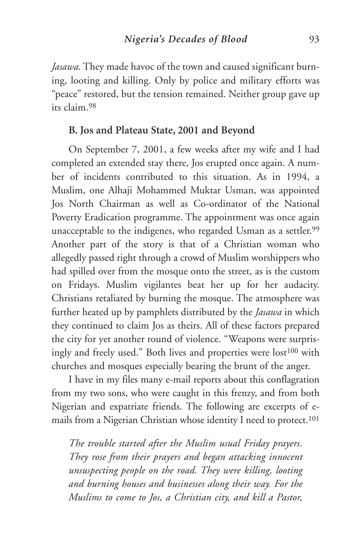*Jasawa.* They made havoc of the town and caused significant burning, looting and killing. Only by police and military efforts was "peace" restored, but the tension remained. Neither group gave up its claim<sup>98</sup>

# **B. Jos and Plateau State, 2001 and Beyond**

On September 7, 2001, a few weeks after my wife and I had completed an extended stay there, Jos erupted once again. A number of incidents contributed to this situation. As in 1994, a Muslim, one Alhaji Mohammed Muktar Usman, was appointed Jos North Chairman as well as Co-ordinator of the National Poverty Eradication programme. The appointment was once again unacceptable to the indigenes, who regarded Usman as a settler.<sup>99</sup> Another part of the story is that of a Christian woman who allegedly passed right through a crowd of Muslim worshippers who had spilled over from the mosque onto the street, as is the custom on Fridays. Muslim vigilantes beat her up for her audacity. Christians retaliated by burning the mosque. The atmosphere was further heated up by pamphlets distributed by the *Jasawa* in which they continued to claim Jos as theirs. All of these factors prepared the city for yet another round of violence. "Weapons were surprisingly and freely used." Both lives and properties were lost<sup>100</sup> with churches and mosques especially bearing the brunt of the anger.

I have in my files many e-mail reports about this conflagration from my two sons, who were caught in this frenzy, and from both Nigerian and expatriate friends. The following are excerpts of emails from a Nigerian Christian whose identity I need to protect.<sup>101</sup>

*The trouble started after the Muslim usual Friday prayers. They rose from their prayers and began attacking innocent unsuspecting people on the road. They were killing, looting and burning houses and businesses along their way. For the Muslims to come to Jos, a Christian city, and kill a Pastor,*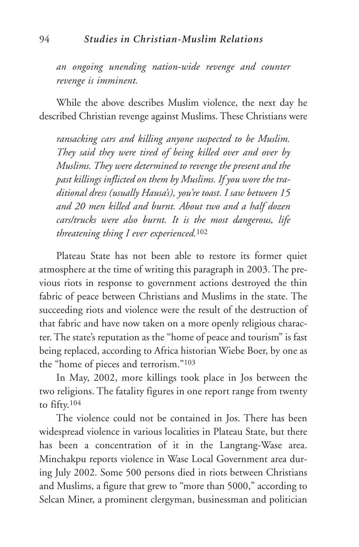*an ongoing unending nation-wide revenge and counter revenge is imminent.*

While the above describes Muslim violence, the next day he described Christian revenge against Muslims. These Christians were

*ransacking cars and killing anyone suspected to be Muslim. They said they were tired of being killed over and over by Muslims. They were determined to revenge the present and the past killings inflicted on them by Muslims. If you wore the traditional dress (usually Hausa's), you're toast. I saw between 15 and 20 men killed and burnt. About two and a half dozen cars/trucks were also burnt. It is the most dangerous, life threatening thing I ever experienced.*<sup>102</sup>

Plateau State has not been able to restore its former quiet atmosphere at the time of writing this paragraph in 2003. The previous riots in response to government actions destroyed the thin fabric of peace between Christians and Muslims in the state. The succeeding riots and violence were the result of the destruction of that fabric and have now taken on a more openly religious character. The state's reputation as the "home of peace and tourism" is fast being replaced, according to Africa historian Wiebe Boer, by one as the "home of pieces and terrorism."103

In May, 2002, more killings took place in Jos between the two religions. The fatality figures in one report range from twenty to fifty.104

The violence could not be contained in Jos. There has been widespread violence in various localities in Plateau State, but there has been a concentration of it in the Langtang-Wase area. Minchakpu reports violence in Wase Local Government area during July 2002. Some 500 persons died in riots between Christians and Muslims, a figure that grew to "more than 5000," according to Selcan Miner, a prominent clergyman, businessman and politician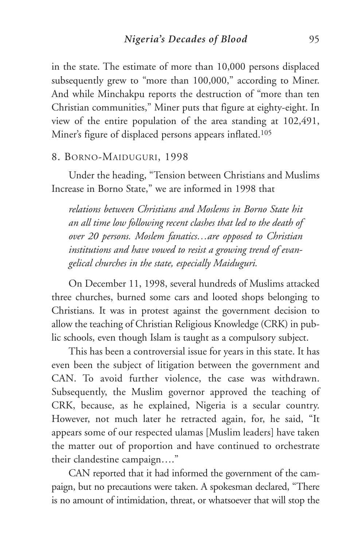in the state. The estimate of more than 10,000 persons displaced subsequently grew to "more than 100,000," according to Miner. And while Minchakpu reports the destruction of "more than ten Christian communities," Miner puts that figure at eighty-eight. In view of the entire population of the area standing at 102,491, Miner's figure of displaced persons appears inflated.105

# 8. BORNO-MAIDUGURI, 1998

Under the heading, "Tension between Christians and Muslims Increase in Borno State," we are informed in 1998 that

*relations between Christians and Moslems in Borno State hit an all time low following recent clashes that led to the death of over 20 persons. Moslem fanatics…are opposed to Christian institutions and have vowed to resist a growing trend of evangelical churches in the state, especially Maiduguri.*

On December 11, 1998, several hundreds of Muslims attacked three churches, burned some cars and looted shops belonging to Christians. It was in protest against the government decision to allow the teaching of Christian Religious Knowledge (CRK) in public schools, even though Islam is taught as a compulsory subject.

This has been a controversial issue for years in this state. It has even been the subject of litigation between the government and CAN. To avoid further violence, the case was withdrawn. Subsequently, the Muslim governor approved the teaching of CRK, because, as he explained, Nigeria is a secular country. However, not much later he retracted again, for, he said, "It appears some of our respected ulamas [Muslim leaders] have taken the matter out of proportion and have continued to orchestrate their clandestine campaign…."

CAN reported that it had informed the government of the campaign, but no precautions were taken. A spokesman declared, "There is no amount of intimidation, threat, or whatsoever that will stop the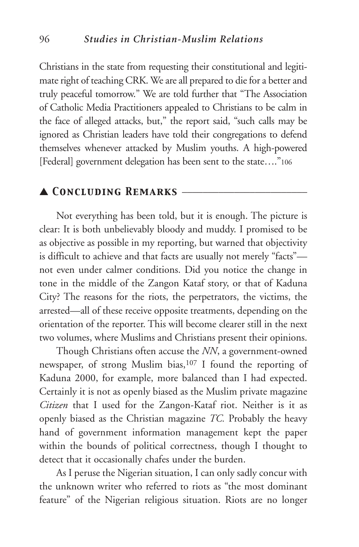Christians in the state from requesting their constitutional and legitimate right of teaching CRK. We are all prepared to die for a better and truly peaceful tomorrow." We are told further that "The Association of Catholic Media Practitioners appealed to Christians to be calm in the face of alleged attacks, but," the report said, "such calls may be ignored as Christian leaders have told their congregations to defend themselves whenever attacked by Muslim youths. A high-powered [Federal] government delegation has been sent to the state...."106

# ▲ *Concluding Remarks* \_\_\_\_\_\_\_\_\_\_\_\_\_\_\_\_\_\_\_\_\_\_\_\_

Not everything has been told, but it is enough. The picture is clear: It is both unbelievably bloody and muddy. I promised to be as objective as possible in my reporting, but warned that objectivity is difficult to achieve and that facts are usually not merely "facts" not even under calmer conditions. Did you notice the change in tone in the middle of the Zangon Kataf story, or that of Kaduna City? The reasons for the riots, the perpetrators, the victims, the arrested—all of these receive opposite treatments, depending on the orientation of the reporter. This will become clearer still in the next two volumes, where Muslims and Christians present their opinions.

Though Christians often accuse the *NN*, a government-owned newspaper, of strong Muslim bias,107 I found the reporting of Kaduna 2000, for example, more balanced than I had expected. Certainly it is not as openly biased as the Muslim private magazine *Citizen* that I used for the Zangon-Kataf riot. Neither is it as openly biased as the Christian magazine *TC.* Probably the heavy hand of government information management kept the paper within the bounds of political correctness, though I thought to detect that it occasionally chafes under the burden.

As I peruse the Nigerian situation, I can only sadly concur with the unknown writer who referred to riots as "the most dominant feature" of the Nigerian religious situation. Riots are no longer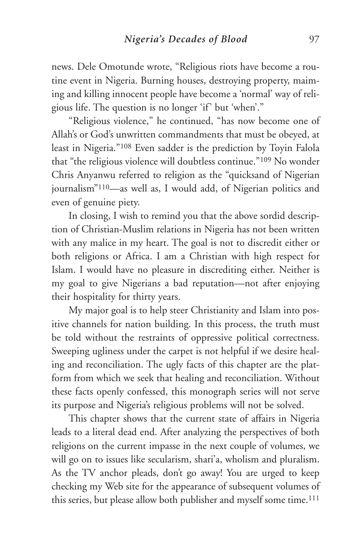news. Dele Omotunde wrote, "Religious riots have become a routine event in Nigeria. Burning houses, destroying property, maiming and killing innocent people have become a 'normal' way of religious life. The question is no longer 'if' but 'when'."

"Religious violence," he continued, "has now become one of Allah's or God's unwritten commandments that must be obeyed, at least in Nigeria."108 Even sadder is the prediction by Toyin Falola that "the religious violence will doubtless continue."109 No wonder Chris Anyanwu referred to religion as the "quicksand of Nigerian journalism"110—as well as, I would add, of Nigerian politics and even of genuine piety.

In closing, I wish to remind you that the above sordid description of Christian-Muslim relations in Nigeria has not been written with any malice in my heart. The goal is not to discredit either or both religions or Africa. I am a Christian with high respect for Islam. I would have no pleasure in discrediting either. Neither is my goal to give Nigerians a bad reputation—not after enjoying their hospitality for thirty years.

My major goal is to help steer Christianity and Islam into positive channels for nation building. In this process, the truth must be told without the restraints of oppressive political correctness. Sweeping ugliness under the carpet is not helpful if we desire healing and reconciliation. The ugly facts of this chapter are the platform from which we seek that healing and reconciliation. Without these facts openly confessed, this monograph series will not serve its purpose and Nigeria's religious problems will not be solved.

This chapter shows that the current state of affairs in Nigeria leads to a literal dead end. After analyzing the perspectives of both religions on the current impasse in the next couple of volumes, we will go on to issues like secularism, shari'a, wholism and pluralism. As the TV anchor pleads, don't go away! You are urged to keep checking my Web site for the appearance of subsequent volumes of this series, but please allow both publisher and myself some time.<sup>111</sup>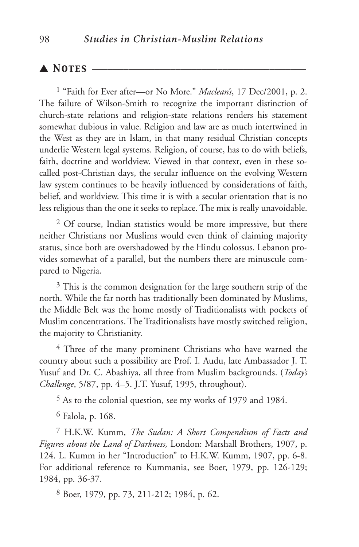# ▲ *Notes* \_\_\_\_\_\_\_\_\_\_\_\_\_\_\_\_\_\_\_\_\_\_\_\_\_\_\_\_\_\_\_\_\_\_\_\_\_\_\_\_\_

1 "Faith for Ever after—or No More." *Maclean's*, 17 Dec/2001, p. 2. The failure of Wilson-Smith to recognize the important distinction of church-state relations and religion-state relations renders his statement somewhat dubious in value. Religion and law are as much intertwined in the West as they are in Islam, in that many residual Christian concepts underlie Western legal systems. Religion, of course, has to do with beliefs, faith, doctrine and worldview. Viewed in that context, even in these socalled post-Christian days, the secular influence on the evolving Western law system continues to be heavily influenced by considerations of faith, belief, and worldview. This time it is with a secular orientation that is no less religious than the one it seeks to replace. The mix is really unavoidable.

2 Of course, Indian statistics would be more impressive, but there neither Christians nor Muslims would even think of claiming majority status, since both are overshadowed by the Hindu colossus. Lebanon provides somewhat of a parallel, but the numbers there are minuscule compared to Nigeria.

<sup>3</sup> This is the common designation for the large southern strip of the north. While the far north has traditionally been dominated by Muslims, the Middle Belt was the home mostly of Traditionalists with pockets of Muslim concentrations. The Traditionalists have mostly switched religion, the majority to Christianity.

4 Three of the many prominent Christians who have warned the country about such a possibility are Prof. I. Audu, late Ambassador J. T. Yusuf and Dr. C. Abashiya, all three from Muslim backgrounds. (*Today's Challenge*, 5/87, pp. 4–5. J.T. Yusuf, 1995, throughout).

5 As to the colonial question, see my works of 1979 and 1984.

6 Falola, p. 168.

7 H.K.W. Kumm, *The Sudan: A Short Compendium of Facts and Figures about the Land of Darkness,* London: Marshall Brothers, 1907, p. 124. L. Kumm in her "Introduction" to H.K.W. Kumm, 1907, pp. 6-8. For additional reference to Kummania, see Boer, 1979, pp. 126-129; 1984, pp. 36-37.

8 Boer, 1979, pp. 73, 211-212; 1984, p. 62.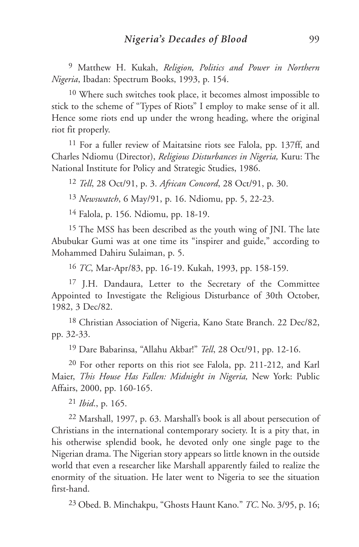9 Matthew H. Kukah, *Religion, Politics and Power in Northern Nigeria*, Ibadan: Spectrum Books, 1993, p. 154.

10 Where such switches took place, it becomes almost impossible to stick to the scheme of "Types of Riots" I employ to make sense of it all. Hence some riots end up under the wrong heading, where the original riot fit properly.

11 For a fuller review of Maitatsine riots see Falola, pp. 137ff, and Charles Ndiomu (Director), *Religious Disturbances in Nigeria,* Kuru: The National Institute for Policy and Strategic Studies, 1986.

12 *Tell*, 28 Oct/91, p. 3. *African Concord*, 28 Oct/91, p. 30.

13 *Newswatch*, 6 May/91, p. 16. Ndiomu, pp. 5, 22-23.

14 Falola, p. 156. Ndiomu, pp. 18-19.

<sup>15</sup> The MSS has been described as the youth wing of JNI. The late Abubukar Gumi was at one time its "inspirer and guide," according to Mohammed Dahiru Sulaiman, p. 5.

16 *TC*, Mar-Apr/83, pp. 16-19. Kukah, 1993, pp. 158-159.

17 J.H. Dandaura, Letter to the Secretary of the Committee Appointed to Investigate the Religious Disturbance of 30th October, 1982, 3 Dec/82.

18 Christian Association of Nigeria, Kano State Branch. 22 Dec/82, pp. 32-33.

19 Dare Babarinsa, "Allahu Akbar!" *Tell*, 28 Oct/91, pp. 12-16.

20 For other reports on this riot see Falola, pp. 211-212, and Karl Maier, *This House Has Fallen: Midnight in Nigeria,* New York: Public Affairs, 2000, pp. 160-165.

21 *Ibid*., p. 165.

22 Marshall, 1997, p. 63. Marshall's book is all about persecution of Christians in the international contemporary society. It is a pity that, in his otherwise splendid book, he devoted only one single page to the Nigerian drama. The Nigerian story appears so little known in the outside world that even a researcher like Marshall apparently failed to realize the enormity of the situation. He later went to Nigeria to see the situation first-hand.

23 Obed. B. Minchakpu, "Ghosts Haunt Kano." *TC*. No. 3/95, p. 16;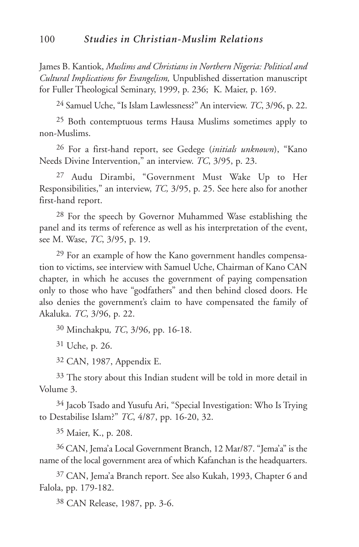James B. Kantiok, *Muslims and Christians in Northern Nigeria: Political and Cultural Implications for Evangelism,* Unpublished dissertation manuscript for Fuller Theological Seminary, 1999, p. 236; K. Maier, p. 169.

24 Samuel Uche, "Is Islam Lawlessness?" An interview. *TC*, 3/96, p. 22.

25 Both contemptuous terms Hausa Muslims sometimes apply to non-Muslims.

26 For a first-hand report, see Gedege (*initials unknown*), "Kano Needs Divine Intervention," an interview. *TC*, 3/95, p. 23.

27 Audu Dirambi, "Government Must Wake Up to Her Responsibilities," an interview, *TC,* 3/95, p. 25. See here also for another first-hand report.

<sup>28</sup> For the speech by Governor Muhammed Wase establishing the panel and its terms of reference as well as his interpretation of the event, see M. Wase, *TC*, 3/95, p. 19.

29 For an example of how the Kano government handles compensation to victims, see interview with Samuel Uche, Chairman of Kano CAN chapter, in which he accuses the government of paying compensation only to those who have "godfathers" and then behind closed doors. He also denies the government's claim to have compensated the family of Akaluka. *TC*, 3/96, p. 22.

30 Minchakpu*, TC*, 3/96, pp. 16-18.

31 Uche, p. 26.

32 CAN, 1987, Appendix E.

<sup>33</sup> The story about this Indian student will be told in more detail in Volume 3.

 $34$  Jacob Tsado and Yusufu Ari, "Special Investigation: Who Is Trying to Destabilise Islam?" *TC*, 4/87, pp. 16-20, 32.

35 Maier, K., p. 208.

36 CAN, Jema'a Local Government Branch, 12 Mar/87. "Jema'a" is the name of the local government area of which Kafanchan is the headquarters.

37 CAN, Jema'a Branch report. See also Kukah, 1993, Chapter 6 and Falola, pp. 179-182.

38 CAN Release, 1987, pp. 3-6.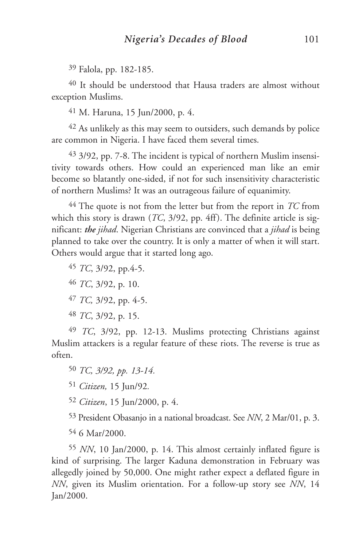39 Falola, pp. 182-185.

40 It should be understood that Hausa traders are almost without exception Muslims.

41 M. Haruna, 15 Jun/2000, p. 4.

 $42$  As unlikely as this may seem to outsiders, such demands by police are common in Nigeria. I have faced them several times.

43 3/92, pp. 7-8. The incident is typical of northern Muslim insensitivity towards others. How could an experienced man like an emir become so blatantly one-sided, if not for such insensitivity characteristic of northern Muslims? It was an outrageous failure of equanimity.

44 The quote is not from the letter but from the report in *TC* from which this story is drawn (*TC*, 3/92, pp. 4ff). The definite article is significant: *the jihad*. Nigerian Christians are convinced that a *jihad* is being planned to take over the country. It is only a matter of when it will start. Others would argue that it started long ago.

- 45 *TC*, 3/92, pp.4-5.
- 46 *TC*, 3/92, p. 10.
- 47 *TC,* 3/92, pp. 4-5.
- 48 *TC*, 3/92, p. 15.

49 *TC*, 3/92, pp. 12-13. Muslims protecting Christians against Muslim attackers is a regular feature of these riots. The reverse is true as often.

- 50 *TC, 3/92, pp. 13-14.*
- 51 *Citizen,* 15 Jun/92*.*

52 *Citizen*, 15 Jun/2000, p. 4.

53 President Obasanjo in a national broadcast. See *NN*, 2 Mar/01, p. 3.

54 6 Mar/2000.

55 *NN*, 10 Jan/2000, p. 14. This almost certainly inflated figure is kind of surprising. The larger Kaduna demonstration in February was allegedly joined by 50,000. One might rather expect a deflated figure in *NN*, given its Muslim orientation. For a follow-up story see *NN*, 14 Jan/2000.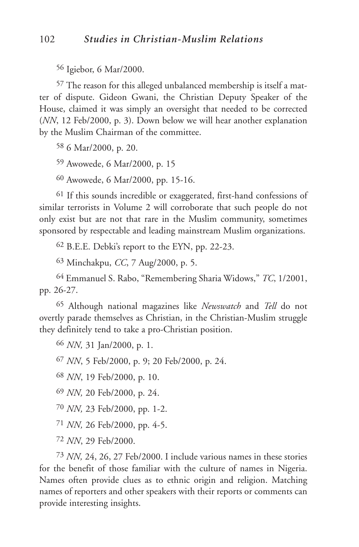56 Igiebor, 6 Mar/2000.

57 The reason for this alleged unbalanced membership is itself a matter of dispute. Gideon Gwani, the Christian Deputy Speaker of the House, claimed it was simply an oversight that needed to be corrected (*NN*, 12 Feb/2000, p. 3). Down below we will hear another explanation by the Muslim Chairman of the committee.

58 6 Mar/2000, p. 20.

59 Awowede, 6 Mar/2000, p. 15

60 Awowede, 6 Mar/2000, pp. 15-16.

61 If this sounds incredible or exaggerated, first-hand confessions of similar terrorists in Volume 2 will corroborate that such people do not only exist but are not that rare in the Muslim community, sometimes sponsored by respectable and leading mainstream Muslim organizations.

62 B.E.E. Debki's report to the EYN, pp. 22-23.

63 Minchakpu, *CC*, 7 Aug/2000, p. 5.

64 Emmanuel S. Rabo, "Remembering Sharia Widows," *TC*, 1/2001, pp. 26-27.

65 Although national magazines like *Newswatch* and *Tell* do not overtly parade themselves as Christian, in the Christian-Muslim struggle they definitely tend to take a pro-Christian position.

66 *NN,* 31 Jan/2000, p. 1.

67 *NN*, 5 Feb/2000, p. 9; 20 Feb/2000, p. 24.

68 *NN*, 19 Feb/2000, p. 10.

69 *NN,* 20 Feb/2000, p. 24.

70 *NN,* 23 Feb/2000, pp. 1-2.

71 *NN,* 26 Feb/2000, pp. 4-5.

72 *NN*, 29 Feb/2000.

73 *NN,* 24, 26, 27 Feb/2000. I include various names in these stories for the benefit of those familiar with the culture of names in Nigeria. Names often provide clues as to ethnic origin and religion. Matching names of reporters and other speakers with their reports or comments can provide interesting insights.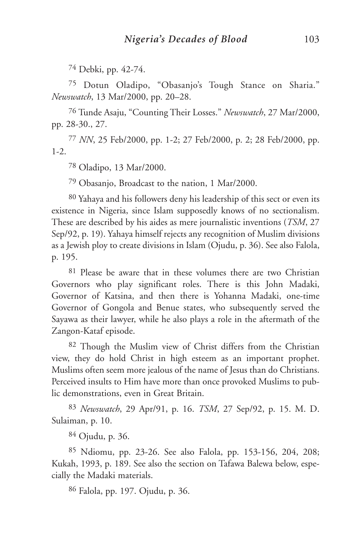74 Debki, pp. 42-74.

75 Dotun Oladipo, "Obasanjo's Tough Stance on Sharia." *Newswatch*, 13 Mar/2000, pp. 20–28.

76 Tunde Asaju, "Counting Their Losses." *Newswatch*, 27 Mar/2000, pp. 28-30., 27.

77 *NN*, 25 Feb/2000, pp. 1-2; 27 Feb/2000, p. 2; 28 Feb/2000, pp.  $1 - 2$ .

78 Oladipo, 13 Mar/2000.

79 Obasanjo, Broadcast to the nation, 1 Mar/2000.

80 Yahaya and his followers deny his leadership of this sect or even its existence in Nigeria, since Islam supposedly knows of no sectionalism. These are described by his aides as mere journalistic inventions (*TSM*, 27 Sep/92, p. 19). Yahaya himself rejects any recognition of Muslim divisions as a Jewish ploy to create divisions in Islam (Ojudu, p. 36). See also Falola, p. 195.

81 Please be aware that in these volumes there are two Christian Governors who play significant roles. There is this John Madaki, Governor of Katsina, and then there is Yohanna Madaki, one-time Governor of Gongola and Benue states, who subsequently served the Sayawa as their lawyer, while he also plays a role in the aftermath of the Zangon-Kataf episode.

82 Though the Muslim view of Christ differs from the Christian view, they do hold Christ in high esteem as an important prophet. Muslims often seem more jealous of the name of Jesus than do Christians. Perceived insults to Him have more than once provoked Muslims to public demonstrations, even in Great Britain.

83 *Newswatch*, 29 Apr/91, p. 16. *TSM*, 27 Sep/92, p. 15. M. D. Sulaiman, p. 10.

84 Ojudu, p. 36.

85 Ndiomu, pp. 23-26. See also Falola, pp. 153-156, 204, 208; Kukah, 1993, p. 189. See also the section on Tafawa Balewa below, especially the Madaki materials.

86 Falola, pp. 197. Ojudu, p. 36.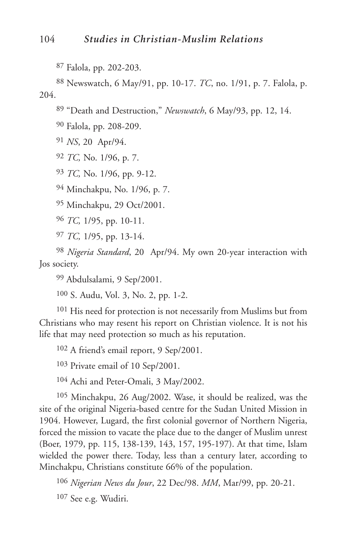Falola, pp. 202-203.

 Newswatch, 6 May/91, pp. 10-17. *TC*, no. 1/91, p. 7. Falola, p. 204.

"Death and Destruction," *Newswatch*, 6 May/93, pp. 12, 14.

Falola, pp. 208-209.

*NS*, 20 Apr/94.

*TC,* No. 1/96, p. 7.

*TC,* No. 1/96, pp. 9-12.

Minchakpu, No. 1/96, p. 7.

Minchakpu, 29 Oct/2001.

*TC,* 1/95, pp. 10-11.

*TC,* 1/95, pp. 13-14.

 *Nigeria Standard*, 20 Apr/94. My own 20-year interaction with Jos society.

Abdulsalami, 9 Sep/2001.

S. Audu, Vol. 3, No. 2, pp. 1-2.

 His need for protection is not necessarily from Muslims but from Christians who may resent his report on Christian violence. It is not his life that may need protection so much as his reputation.

A friend's email report, 9 Sep/2001.

Private email of 10 Sep/2001.

Achi and Peter-Omali, 3 May/2002.

 Minchakpu, 26 Aug/2002. Wase, it should be realized, was the site of the original Nigeria-based centre for the Sudan United Mission in 1904. However, Lugard, the first colonial governor of Northern Nigeria, forced the mission to vacate the place due to the danger of Muslim unrest (Boer, 1979, pp. 115, 138-139, 143, 157, 195-197). At that time, Islam wielded the power there. Today, less than a century later, according to Minchakpu, Christians constitute 66% of the population.

*Nigerian News du Jour*, 22 Dec/98. *MM*, Mar/99, pp. 20-21.

See e.g. Wudiri.